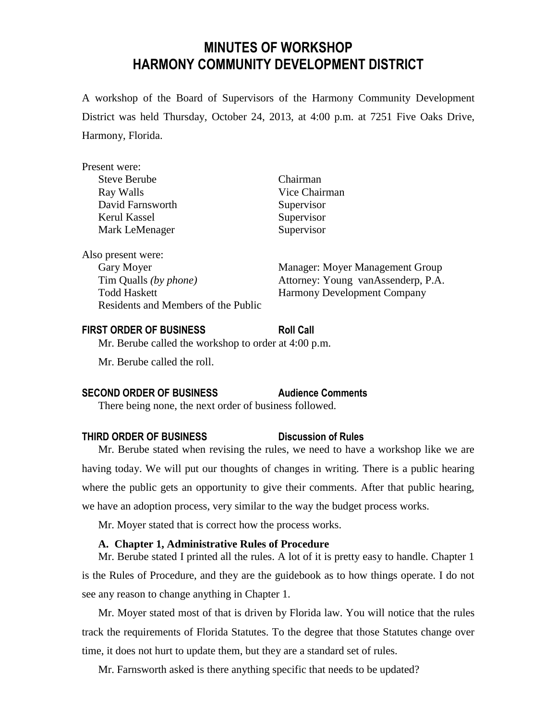# **MINUTES OF WORKSHOP HARMONY COMMUNITY DEVELOPMENT DISTRICT**

A workshop of the Board of Supervisors of the Harmony Community Development District was held Thursday, October 24, 2013, at 4:00 p.m. at 7251 Five Oaks Drive, Harmony, Florida.

| Present were:                       |                                    |
|-------------------------------------|------------------------------------|
| <b>Steve Berube</b>                 | Chairman                           |
| Ray Walls                           | Vice Chairman                      |
| David Farnsworth                    | Supervisor                         |
| Kerul Kassel                        | Supervisor                         |
| Mark LeMenager                      | Supervisor                         |
| Also present were:                  |                                    |
| Gary Moyer                          | Manager: Moyer Management Group    |
| Tim Qualls (by phone)               | Attorney: Young vanAssenderp, P.A. |
| <b>Todd Haskett</b>                 | <b>Harmony Development Company</b> |
| Residents and Members of the Public |                                    |

#### **FIRST ORDER OF BUSINESS Roll Call**

Mr. Berube called the workshop to order at 4:00 p.m.

Mr. Berube called the roll.

### **SECOND ORDER OF BUSINESS Audience Comments**

There being none, the next order of business followed.

### **THIRD ORDER OF BUSINESS Discussion of Rules**

Mr. Berube stated when revising the rules, we need to have a workshop like we are having today. We will put our thoughts of changes in writing. There is a public hearing where the public gets an opportunity to give their comments. After that public hearing, we have an adoption process, very similar to the way the budget process works.

Mr. Moyer stated that is correct how the process works.

### **A. Chapter 1, Administrative Rules of Procedure**

Mr. Berube stated I printed all the rules. A lot of it is pretty easy to handle. Chapter 1 is the Rules of Procedure, and they are the guidebook as to how things operate. I do not see any reason to change anything in Chapter 1.

Mr. Moyer stated most of that is driven by Florida law. You will notice that the rules track the requirements of Florida Statutes. To the degree that those Statutes change over time, it does not hurt to update them, but they are a standard set of rules.

Mr. Farnsworth asked is there anything specific that needs to be updated?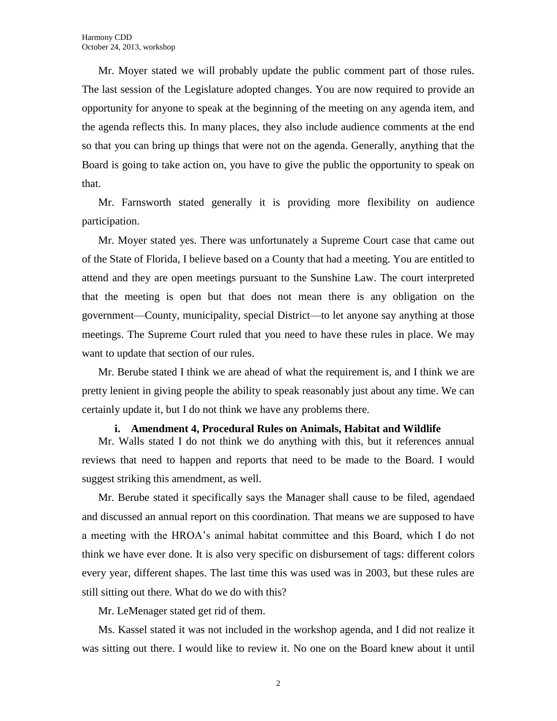Mr. Moyer stated we will probably update the public comment part of those rules. The last session of the Legislature adopted changes. You are now required to provide an opportunity for anyone to speak at the beginning of the meeting on any agenda item, and the agenda reflects this. In many places, they also include audience comments at the end so that you can bring up things that were not on the agenda. Generally, anything that the Board is going to take action on, you have to give the public the opportunity to speak on that.

Mr. Farnsworth stated generally it is providing more flexibility on audience participation.

Mr. Moyer stated yes. There was unfortunately a Supreme Court case that came out of the State of Florida, I believe based on a County that had a meeting. You are entitled to attend and they are open meetings pursuant to the Sunshine Law. The court interpreted that the meeting is open but that does not mean there is any obligation on the government—County, municipality, special District—to let anyone say anything at those meetings. The Supreme Court ruled that you need to have these rules in place. We may want to update that section of our rules.

Mr. Berube stated I think we are ahead of what the requirement is, and I think we are pretty lenient in giving people the ability to speak reasonably just about any time. We can certainly update it, but I do not think we have any problems there.

#### **i. Amendment 4, Procedural Rules on Animals, Habitat and Wildlife**

Mr. Walls stated I do not think we do anything with this, but it references annual reviews that need to happen and reports that need to be made to the Board. I would suggest striking this amendment, as well.

Mr. Berube stated it specifically says the Manager shall cause to be filed, agendaed and discussed an annual report on this coordination. That means we are supposed to have a meeting with the HROA's animal habitat committee and this Board, which I do not think we have ever done. It is also very specific on disbursement of tags: different colors every year, different shapes. The last time this was used was in 2003, but these rules are still sitting out there. What do we do with this?

Mr. LeMenager stated get rid of them.

Ms. Kassel stated it was not included in the workshop agenda, and I did not realize it was sitting out there. I would like to review it. No one on the Board knew about it until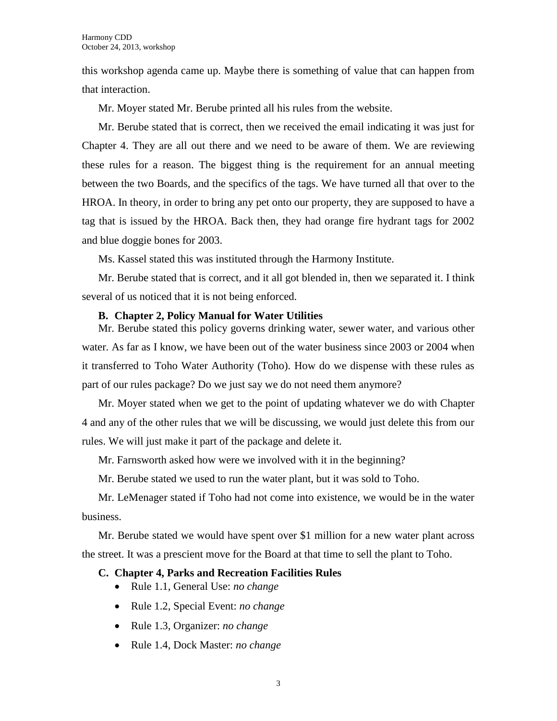this workshop agenda came up. Maybe there is something of value that can happen from that interaction.

Mr. Moyer stated Mr. Berube printed all his rules from the website.

Mr. Berube stated that is correct, then we received the email indicating it was just for Chapter 4. They are all out there and we need to be aware of them. We are reviewing these rules for a reason. The biggest thing is the requirement for an annual meeting between the two Boards, and the specifics of the tags. We have turned all that over to the HROA. In theory, in order to bring any pet onto our property, they are supposed to have a tag that is issued by the HROA. Back then, they had orange fire hydrant tags for 2002 and blue doggie bones for 2003.

Ms. Kassel stated this was instituted through the Harmony Institute.

Mr. Berube stated that is correct, and it all got blended in, then we separated it. I think several of us noticed that it is not being enforced.

### **B. Chapter 2, Policy Manual for Water Utilities**

Mr. Berube stated this policy governs drinking water, sewer water, and various other water. As far as I know, we have been out of the water business since 2003 or 2004 when it transferred to Toho Water Authority (Toho). How do we dispense with these rules as part of our rules package? Do we just say we do not need them anymore?

Mr. Moyer stated when we get to the point of updating whatever we do with Chapter 4 and any of the other rules that we will be discussing, we would just delete this from our rules. We will just make it part of the package and delete it.

Mr. Farnsworth asked how were we involved with it in the beginning?

Mr. Berube stated we used to run the water plant, but it was sold to Toho.

Mr. LeMenager stated if Toho had not come into existence, we would be in the water business.

Mr. Berube stated we would have spent over \$1 million for a new water plant across the street. It was a prescient move for the Board at that time to sell the plant to Toho.

### **C. Chapter 4, Parks and Recreation Facilities Rules**

- Rule 1.1, General Use: *no change*
- Rule 1.2, Special Event: *no change*
- Rule 1.3, Organizer: *no change*
- Rule 1.4, Dock Master: *no change*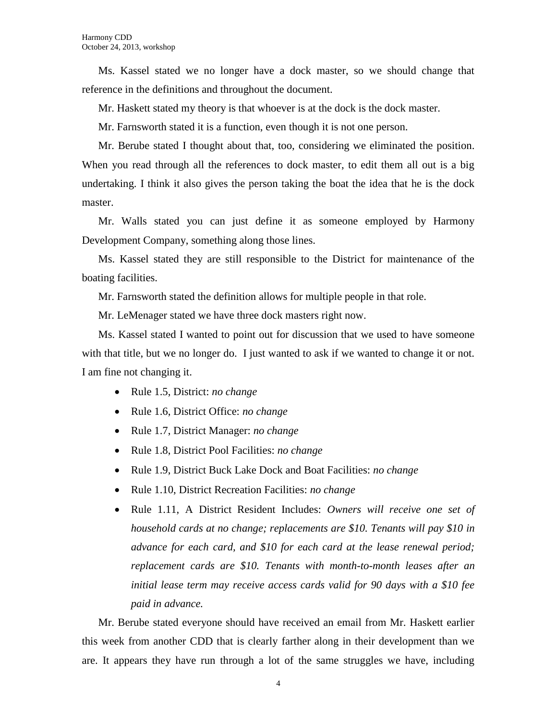Ms. Kassel stated we no longer have a dock master, so we should change that reference in the definitions and throughout the document.

Mr. Haskett stated my theory is that whoever is at the dock is the dock master.

Mr. Farnsworth stated it is a function, even though it is not one person.

Mr. Berube stated I thought about that, too, considering we eliminated the position. When you read through all the references to dock master, to edit them all out is a big undertaking. I think it also gives the person taking the boat the idea that he is the dock master.

Mr. Walls stated you can just define it as someone employed by Harmony Development Company, something along those lines.

Ms. Kassel stated they are still responsible to the District for maintenance of the boating facilities.

Mr. Farnsworth stated the definition allows for multiple people in that role.

Mr. LeMenager stated we have three dock masters right now.

Ms. Kassel stated I wanted to point out for discussion that we used to have someone with that title, but we no longer do. I just wanted to ask if we wanted to change it or not. I am fine not changing it.

- Rule 1.5, District: *no change*
- Rule 1.6, District Office: *no change*
- Rule 1.7, District Manager: *no change*
- Rule 1.8, District Pool Facilities: *no change*
- Rule 1.9, District Buck Lake Dock and Boat Facilities: *no change*
- Rule 1.10, District Recreation Facilities: *no change*
- Rule 1.11, A District Resident Includes: *Owners will receive one set of household cards at no change; replacements are \$10. Tenants will pay \$10 in advance for each card, and \$10 for each card at the lease renewal period; replacement cards are \$10. Tenants with month-to-month leases after an initial lease term may receive access cards valid for 90 days with a \$10 fee paid in advance.*

Mr. Berube stated everyone should have received an email from Mr. Haskett earlier this week from another CDD that is clearly farther along in their development than we are. It appears they have run through a lot of the same struggles we have, including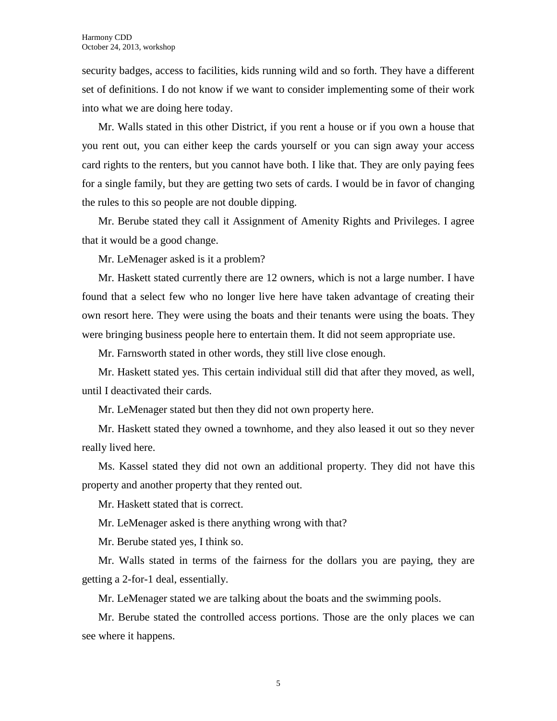security badges, access to facilities, kids running wild and so forth. They have a different set of definitions. I do not know if we want to consider implementing some of their work into what we are doing here today.

Mr. Walls stated in this other District, if you rent a house or if you own a house that you rent out, you can either keep the cards yourself or you can sign away your access card rights to the renters, but you cannot have both. I like that. They are only paying fees for a single family, but they are getting two sets of cards. I would be in favor of changing the rules to this so people are not double dipping.

Mr. Berube stated they call it Assignment of Amenity Rights and Privileges. I agree that it would be a good change.

Mr. LeMenager asked is it a problem?

Mr. Haskett stated currently there are 12 owners, which is not a large number. I have found that a select few who no longer live here have taken advantage of creating their own resort here. They were using the boats and their tenants were using the boats. They were bringing business people here to entertain them. It did not seem appropriate use.

Mr. Farnsworth stated in other words, they still live close enough.

Mr. Haskett stated yes. This certain individual still did that after they moved, as well, until I deactivated their cards.

Mr. LeMenager stated but then they did not own property here.

Mr. Haskett stated they owned a townhome, and they also leased it out so they never really lived here.

Ms. Kassel stated they did not own an additional property. They did not have this property and another property that they rented out.

Mr. Haskett stated that is correct.

Mr. LeMenager asked is there anything wrong with that?

Mr. Berube stated yes, I think so.

Mr. Walls stated in terms of the fairness for the dollars you are paying, they are getting a 2-for-1 deal, essentially.

Mr. LeMenager stated we are talking about the boats and the swimming pools.

Mr. Berube stated the controlled access portions. Those are the only places we can see where it happens.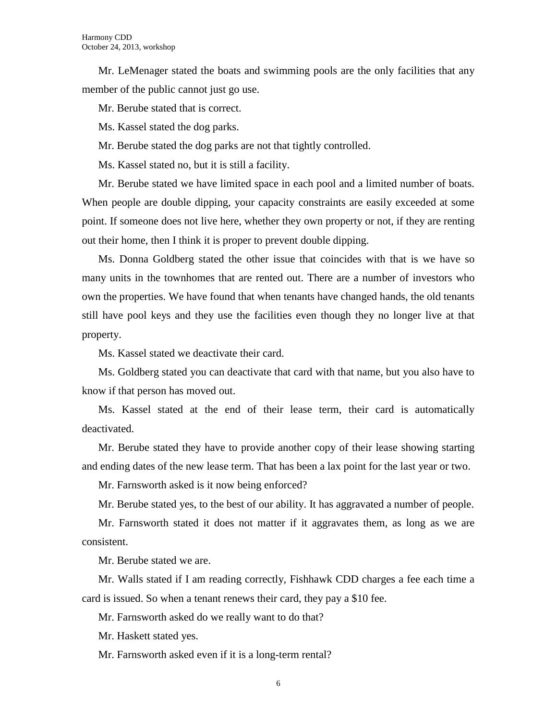Mr. LeMenager stated the boats and swimming pools are the only facilities that any member of the public cannot just go use.

Mr. Berube stated that is correct.

Ms. Kassel stated the dog parks.

Mr. Berube stated the dog parks are not that tightly controlled.

Ms. Kassel stated no, but it is still a facility.

Mr. Berube stated we have limited space in each pool and a limited number of boats. When people are double dipping, your capacity constraints are easily exceeded at some point. If someone does not live here, whether they own property or not, if they are renting out their home, then I think it is proper to prevent double dipping.

Ms. Donna Goldberg stated the other issue that coincides with that is we have so many units in the townhomes that are rented out. There are a number of investors who own the properties. We have found that when tenants have changed hands, the old tenants still have pool keys and they use the facilities even though they no longer live at that property.

Ms. Kassel stated we deactivate their card.

Ms. Goldberg stated you can deactivate that card with that name, but you also have to know if that person has moved out.

Ms. Kassel stated at the end of their lease term, their card is automatically deactivated.

Mr. Berube stated they have to provide another copy of their lease showing starting and ending dates of the new lease term. That has been a lax point for the last year or two.

Mr. Farnsworth asked is it now being enforced?

Mr. Berube stated yes, to the best of our ability. It has aggravated a number of people.

Mr. Farnsworth stated it does not matter if it aggravates them, as long as we are consistent.

Mr. Berube stated we are.

Mr. Walls stated if I am reading correctly, Fishhawk CDD charges a fee each time a card is issued. So when a tenant renews their card, they pay a \$10 fee.

Mr. Farnsworth asked do we really want to do that?

Mr. Haskett stated yes.

Mr. Farnsworth asked even if it is a long-term rental?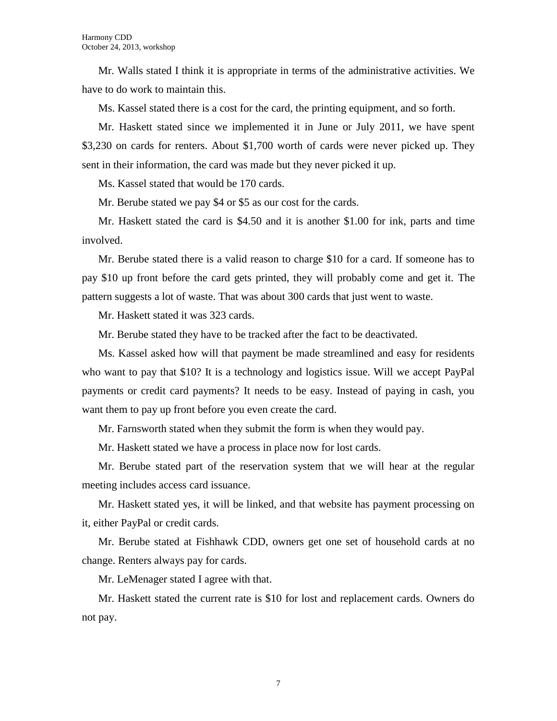Mr. Walls stated I think it is appropriate in terms of the administrative activities. We have to do work to maintain this.

Ms. Kassel stated there is a cost for the card, the printing equipment, and so forth.

Mr. Haskett stated since we implemented it in June or July 2011, we have spent \$3,230 on cards for renters. About \$1,700 worth of cards were never picked up. They sent in their information, the card was made but they never picked it up.

Ms. Kassel stated that would be 170 cards.

Mr. Berube stated we pay \$4 or \$5 as our cost for the cards.

Mr. Haskett stated the card is \$4.50 and it is another \$1.00 for ink, parts and time involved.

Mr. Berube stated there is a valid reason to charge \$10 for a card. If someone has to pay \$10 up front before the card gets printed, they will probably come and get it. The pattern suggests a lot of waste. That was about 300 cards that just went to waste.

Mr. Haskett stated it was 323 cards.

Mr. Berube stated they have to be tracked after the fact to be deactivated.

Ms. Kassel asked how will that payment be made streamlined and easy for residents who want to pay that \$10? It is a technology and logistics issue. Will we accept PayPal payments or credit card payments? It needs to be easy. Instead of paying in cash, you want them to pay up front before you even create the card.

Mr. Farnsworth stated when they submit the form is when they would pay.

Mr. Haskett stated we have a process in place now for lost cards.

Mr. Berube stated part of the reservation system that we will hear at the regular meeting includes access card issuance.

Mr. Haskett stated yes, it will be linked, and that website has payment processing on it, either PayPal or credit cards.

Mr. Berube stated at Fishhawk CDD, owners get one set of household cards at no change. Renters always pay for cards.

Mr. LeMenager stated I agree with that.

Mr. Haskett stated the current rate is \$10 for lost and replacement cards. Owners do not pay.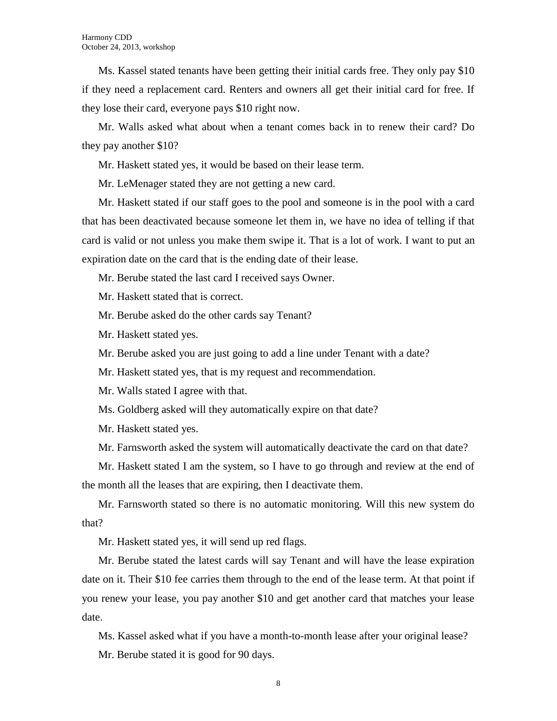Ms. Kassel stated tenants have been getting their initial cards free. They only pay \$10 if they need a replacement card. Renters and owners all get their initial card for free. If they lose their card, everyone pays \$10 right now.

Mr. Walls asked what about when a tenant comes back in to renew their card? Do they pay another \$10?

Mr. Haskett stated yes, it would be based on their lease term.

Mr. LeMenager stated they are not getting a new card.

Mr. Haskett stated if our staff goes to the pool and someone is in the pool with a card that has been deactivated because someone let them in, we have no idea of telling if that card is valid or not unless you make them swipe it. That is a lot of work. I want to put an expiration date on the card that is the ending date of their lease.

Mr. Berube stated the last card I received says Owner.

Mr. Haskett stated that is correct.

Mr. Berube asked do the other cards say Tenant?

Mr. Haskett stated yes.

Mr. Berube asked you are just going to add a line under Tenant with a date?

Mr. Haskett stated yes, that is my request and recommendation.

Mr. Walls stated I agree with that.

Ms. Goldberg asked will they automatically expire on that date?

Mr. Haskett stated yes.

Mr. Farnsworth asked the system will automatically deactivate the card on that date?

Mr. Haskett stated I am the system, so I have to go through and review at the end of the month all the leases that are expiring, then I deactivate them.

Mr. Farnsworth stated so there is no automatic monitoring. Will this new system do that?

Mr. Haskett stated yes, it will send up red flags.

Mr. Berube stated the latest cards will say Tenant and will have the lease expiration date on it. Their \$10 fee carries them through to the end of the lease term. At that point if you renew your lease, you pay another \$10 and get another card that matches your lease date.

Ms. Kassel asked what if you have a month-to-month lease after your original lease? Mr. Berube stated it is good for 90 days.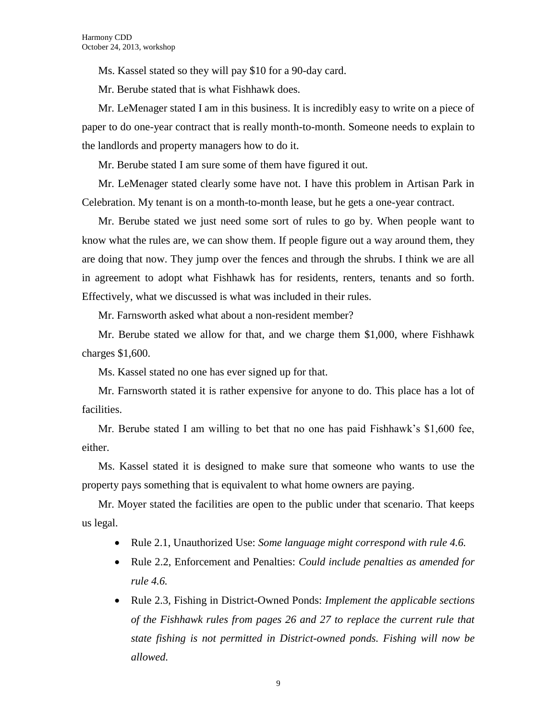Ms. Kassel stated so they will pay \$10 for a 90-day card.

Mr. Berube stated that is what Fishhawk does.

Mr. LeMenager stated I am in this business. It is incredibly easy to write on a piece of paper to do one-year contract that is really month-to-month. Someone needs to explain to the landlords and property managers how to do it.

Mr. Berube stated I am sure some of them have figured it out.

Mr. LeMenager stated clearly some have not. I have this problem in Artisan Park in Celebration. My tenant is on a month-to-month lease, but he gets a one-year contract.

Mr. Berube stated we just need some sort of rules to go by. When people want to know what the rules are, we can show them. If people figure out a way around them, they are doing that now. They jump over the fences and through the shrubs. I think we are all in agreement to adopt what Fishhawk has for residents, renters, tenants and so forth. Effectively, what we discussed is what was included in their rules.

Mr. Farnsworth asked what about a non-resident member?

Mr. Berube stated we allow for that, and we charge them \$1,000, where Fishhawk charges \$1,600.

Ms. Kassel stated no one has ever signed up for that.

Mr. Farnsworth stated it is rather expensive for anyone to do. This place has a lot of facilities.

Mr. Berube stated I am willing to bet that no one has paid Fishhawk's \$1,600 fee, either.

Ms. Kassel stated it is designed to make sure that someone who wants to use the property pays something that is equivalent to what home owners are paying.

Mr. Moyer stated the facilities are open to the public under that scenario. That keeps us legal.

- Rule 2.1, Unauthorized Use: *Some language might correspond with rule 4.6.*
- Rule 2.2, Enforcement and Penalties: *Could include penalties as amended for rule 4.6.*
- Rule 2.3, Fishing in District-Owned Ponds: *Implement the applicable sections of the Fishhawk rules from pages 26 and 27 to replace the current rule that state fishing is not permitted in District-owned ponds. Fishing will now be allowed.*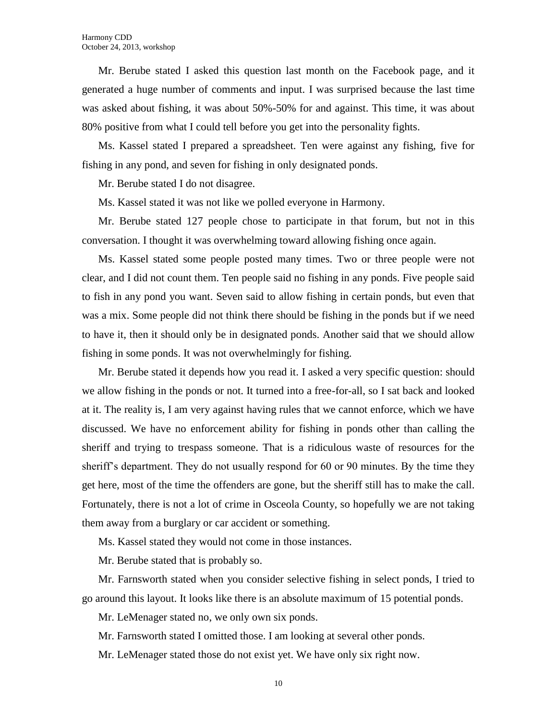Mr. Berube stated I asked this question last month on the Facebook page, and it generated a huge number of comments and input. I was surprised because the last time was asked about fishing, it was about 50%-50% for and against. This time, it was about 80% positive from what I could tell before you get into the personality fights.

Ms. Kassel stated I prepared a spreadsheet. Ten were against any fishing, five for fishing in any pond, and seven for fishing in only designated ponds.

Mr. Berube stated I do not disagree.

Ms. Kassel stated it was not like we polled everyone in Harmony.

Mr. Berube stated 127 people chose to participate in that forum, but not in this conversation. I thought it was overwhelming toward allowing fishing once again.

Ms. Kassel stated some people posted many times. Two or three people were not clear, and I did not count them. Ten people said no fishing in any ponds. Five people said to fish in any pond you want. Seven said to allow fishing in certain ponds, but even that was a mix. Some people did not think there should be fishing in the ponds but if we need to have it, then it should only be in designated ponds. Another said that we should allow fishing in some ponds. It was not overwhelmingly for fishing.

Mr. Berube stated it depends how you read it. I asked a very specific question: should we allow fishing in the ponds or not. It turned into a free-for-all, so I sat back and looked at it. The reality is, I am very against having rules that we cannot enforce, which we have discussed. We have no enforcement ability for fishing in ponds other than calling the sheriff and trying to trespass someone. That is a ridiculous waste of resources for the sheriff's department. They do not usually respond for 60 or 90 minutes. By the time they get here, most of the time the offenders are gone, but the sheriff still has to make the call. Fortunately, there is not a lot of crime in Osceola County, so hopefully we are not taking them away from a burglary or car accident or something.

Ms. Kassel stated they would not come in those instances.

Mr. Berube stated that is probably so.

Mr. Farnsworth stated when you consider selective fishing in select ponds, I tried to go around this layout. It looks like there is an absolute maximum of 15 potential ponds.

Mr. LeMenager stated no, we only own six ponds.

Mr. Farnsworth stated I omitted those. I am looking at several other ponds.

Mr. LeMenager stated those do not exist yet. We have only six right now.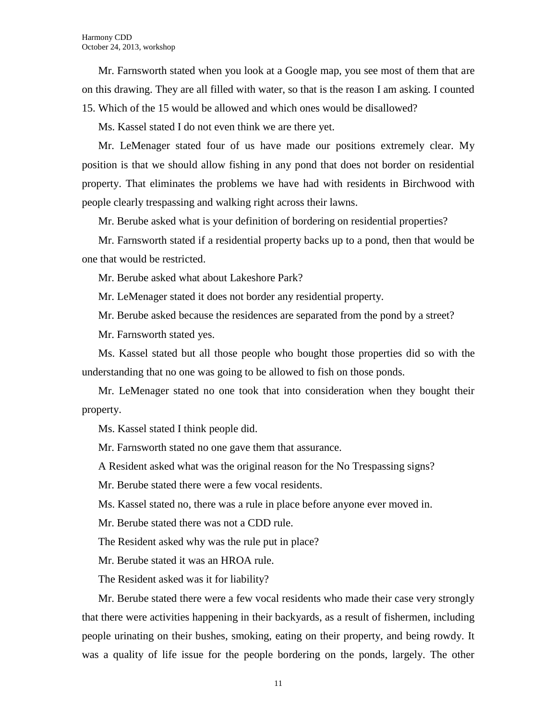Mr. Farnsworth stated when you look at a Google map, you see most of them that are on this drawing. They are all filled with water, so that is the reason I am asking. I counted 15. Which of the 15 would be allowed and which ones would be disallowed?

Ms. Kassel stated I do not even think we are there yet.

Mr. LeMenager stated four of us have made our positions extremely clear. My position is that we should allow fishing in any pond that does not border on residential property. That eliminates the problems we have had with residents in Birchwood with people clearly trespassing and walking right across their lawns.

Mr. Berube asked what is your definition of bordering on residential properties?

Mr. Farnsworth stated if a residential property backs up to a pond, then that would be one that would be restricted.

Mr. Berube asked what about Lakeshore Park?

Mr. LeMenager stated it does not border any residential property.

Mr. Berube asked because the residences are separated from the pond by a street?

Mr. Farnsworth stated yes.

Ms. Kassel stated but all those people who bought those properties did so with the understanding that no one was going to be allowed to fish on those ponds.

Mr. LeMenager stated no one took that into consideration when they bought their property.

Ms. Kassel stated I think people did.

Mr. Farnsworth stated no one gave them that assurance.

A Resident asked what was the original reason for the No Trespassing signs?

Mr. Berube stated there were a few vocal residents.

Ms. Kassel stated no, there was a rule in place before anyone ever moved in.

Mr. Berube stated there was not a CDD rule.

The Resident asked why was the rule put in place?

Mr. Berube stated it was an HROA rule.

The Resident asked was it for liability?

Mr. Berube stated there were a few vocal residents who made their case very strongly that there were activities happening in their backyards, as a result of fishermen, including people urinating on their bushes, smoking, eating on their property, and being rowdy. It was a quality of life issue for the people bordering on the ponds, largely. The other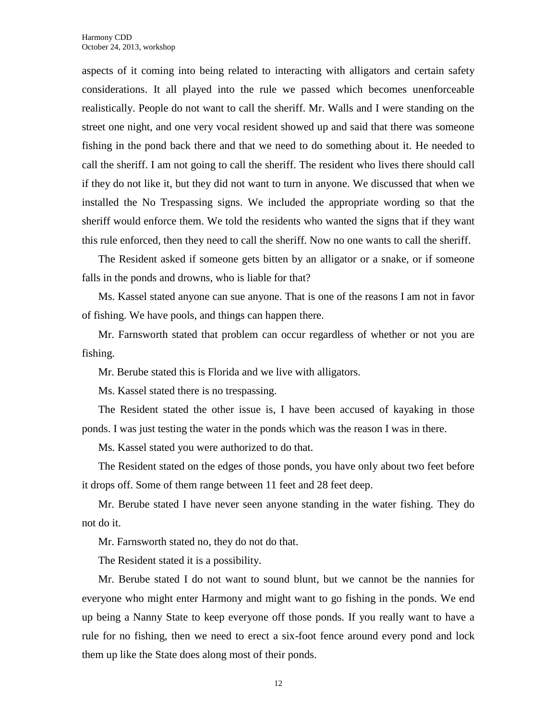aspects of it coming into being related to interacting with alligators and certain safety considerations. It all played into the rule we passed which becomes unenforceable realistically. People do not want to call the sheriff. Mr. Walls and I were standing on the street one night, and one very vocal resident showed up and said that there was someone fishing in the pond back there and that we need to do something about it. He needed to call the sheriff. I am not going to call the sheriff. The resident who lives there should call if they do not like it, but they did not want to turn in anyone. We discussed that when we installed the No Trespassing signs. We included the appropriate wording so that the sheriff would enforce them. We told the residents who wanted the signs that if they want this rule enforced, then they need to call the sheriff. Now no one wants to call the sheriff.

The Resident asked if someone gets bitten by an alligator or a snake, or if someone falls in the ponds and drowns, who is liable for that?

Ms. Kassel stated anyone can sue anyone. That is one of the reasons I am not in favor of fishing. We have pools, and things can happen there.

Mr. Farnsworth stated that problem can occur regardless of whether or not you are fishing.

Mr. Berube stated this is Florida and we live with alligators.

Ms. Kassel stated there is no trespassing.

The Resident stated the other issue is, I have been accused of kayaking in those ponds. I was just testing the water in the ponds which was the reason I was in there.

Ms. Kassel stated you were authorized to do that.

The Resident stated on the edges of those ponds, you have only about two feet before it drops off. Some of them range between 11 feet and 28 feet deep.

Mr. Berube stated I have never seen anyone standing in the water fishing. They do not do it.

Mr. Farnsworth stated no, they do not do that.

The Resident stated it is a possibility.

Mr. Berube stated I do not want to sound blunt, but we cannot be the nannies for everyone who might enter Harmony and might want to go fishing in the ponds. We end up being a Nanny State to keep everyone off those ponds. If you really want to have a rule for no fishing, then we need to erect a six-foot fence around every pond and lock them up like the State does along most of their ponds.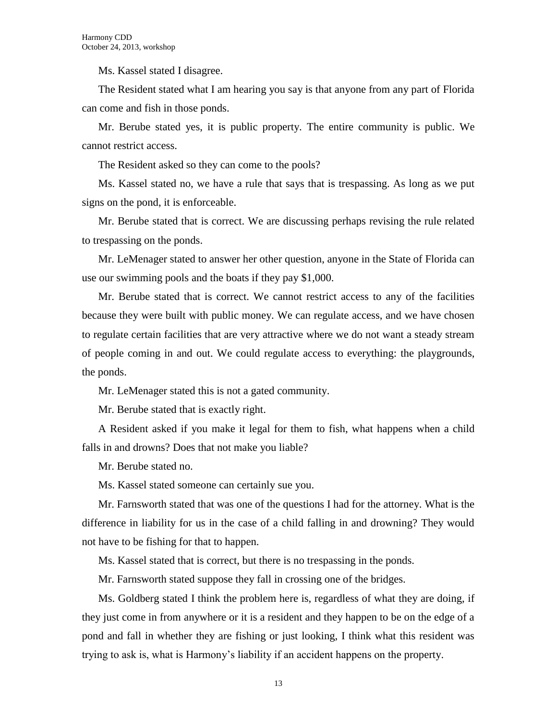Ms. Kassel stated I disagree.

The Resident stated what I am hearing you say is that anyone from any part of Florida can come and fish in those ponds.

Mr. Berube stated yes, it is public property. The entire community is public. We cannot restrict access.

The Resident asked so they can come to the pools?

Ms. Kassel stated no, we have a rule that says that is trespassing. As long as we put signs on the pond, it is enforceable.

Mr. Berube stated that is correct. We are discussing perhaps revising the rule related to trespassing on the ponds.

Mr. LeMenager stated to answer her other question, anyone in the State of Florida can use our swimming pools and the boats if they pay \$1,000.

Mr. Berube stated that is correct. We cannot restrict access to any of the facilities because they were built with public money. We can regulate access, and we have chosen to regulate certain facilities that are very attractive where we do not want a steady stream of people coming in and out. We could regulate access to everything: the playgrounds, the ponds.

Mr. LeMenager stated this is not a gated community.

Mr. Berube stated that is exactly right.

A Resident asked if you make it legal for them to fish, what happens when a child falls in and drowns? Does that not make you liable?

Mr. Berube stated no.

Ms. Kassel stated someone can certainly sue you.

Mr. Farnsworth stated that was one of the questions I had for the attorney. What is the difference in liability for us in the case of a child falling in and drowning? They would not have to be fishing for that to happen.

Ms. Kassel stated that is correct, but there is no trespassing in the ponds.

Mr. Farnsworth stated suppose they fall in crossing one of the bridges.

Ms. Goldberg stated I think the problem here is, regardless of what they are doing, if they just come in from anywhere or it is a resident and they happen to be on the edge of a pond and fall in whether they are fishing or just looking, I think what this resident was trying to ask is, what is Harmony's liability if an accident happens on the property.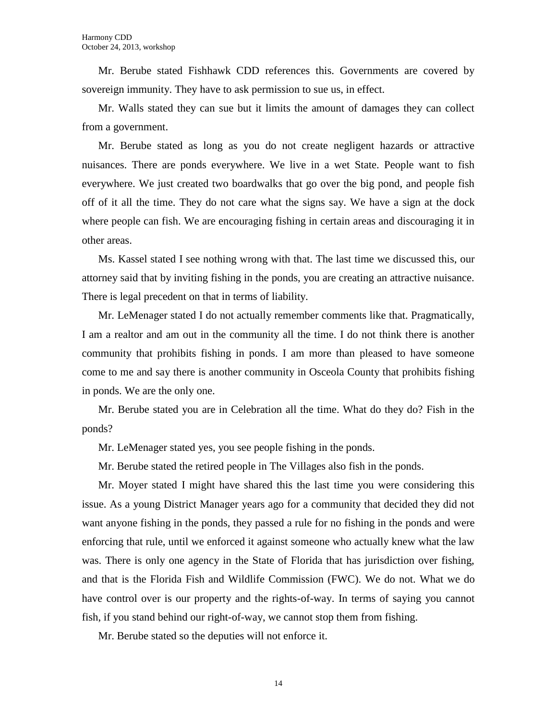Mr. Berube stated Fishhawk CDD references this. Governments are covered by sovereign immunity. They have to ask permission to sue us, in effect.

Mr. Walls stated they can sue but it limits the amount of damages they can collect from a government.

Mr. Berube stated as long as you do not create negligent hazards or attractive nuisances. There are ponds everywhere. We live in a wet State. People want to fish everywhere. We just created two boardwalks that go over the big pond, and people fish off of it all the time. They do not care what the signs say. We have a sign at the dock where people can fish. We are encouraging fishing in certain areas and discouraging it in other areas.

Ms. Kassel stated I see nothing wrong with that. The last time we discussed this, our attorney said that by inviting fishing in the ponds, you are creating an attractive nuisance. There is legal precedent on that in terms of liability.

Mr. LeMenager stated I do not actually remember comments like that. Pragmatically, I am a realtor and am out in the community all the time. I do not think there is another community that prohibits fishing in ponds. I am more than pleased to have someone come to me and say there is another community in Osceola County that prohibits fishing in ponds. We are the only one.

Mr. Berube stated you are in Celebration all the time. What do they do? Fish in the ponds?

Mr. LeMenager stated yes, you see people fishing in the ponds.

Mr. Berube stated the retired people in The Villages also fish in the ponds.

Mr. Moyer stated I might have shared this the last time you were considering this issue. As a young District Manager years ago for a community that decided they did not want anyone fishing in the ponds, they passed a rule for no fishing in the ponds and were enforcing that rule, until we enforced it against someone who actually knew what the law was. There is only one agency in the State of Florida that has jurisdiction over fishing, and that is the Florida Fish and Wildlife Commission (FWC). We do not. What we do have control over is our property and the rights-of-way. In terms of saying you cannot fish, if you stand behind our right-of-way, we cannot stop them from fishing.

Mr. Berube stated so the deputies will not enforce it.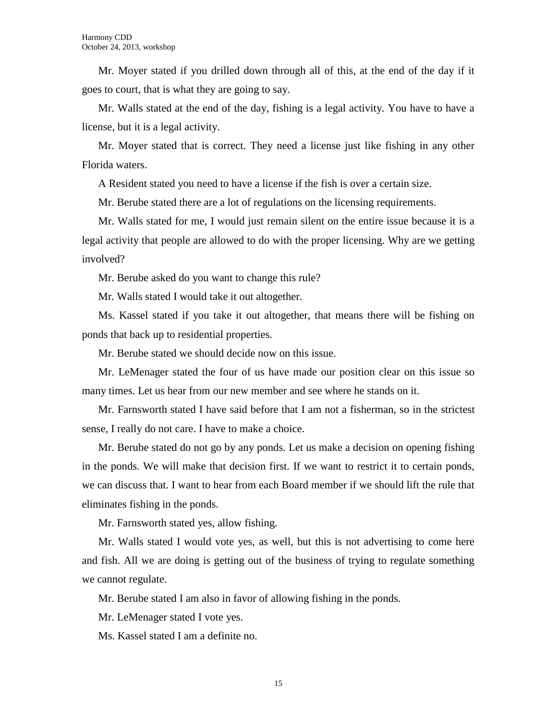Mr. Moyer stated if you drilled down through all of this, at the end of the day if it goes to court, that is what they are going to say.

Mr. Walls stated at the end of the day, fishing is a legal activity. You have to have a license, but it is a legal activity.

Mr. Moyer stated that is correct. They need a license just like fishing in any other Florida waters.

A Resident stated you need to have a license if the fish is over a certain size.

Mr. Berube stated there are a lot of regulations on the licensing requirements.

Mr. Walls stated for me, I would just remain silent on the entire issue because it is a legal activity that people are allowed to do with the proper licensing. Why are we getting involved?

Mr. Berube asked do you want to change this rule?

Mr. Walls stated I would take it out altogether.

Ms. Kassel stated if you take it out altogether, that means there will be fishing on ponds that back up to residential properties.

Mr. Berube stated we should decide now on this issue.

Mr. LeMenager stated the four of us have made our position clear on this issue so many times. Let us hear from our new member and see where he stands on it.

Mr. Farnsworth stated I have said before that I am not a fisherman, so in the strictest sense, I really do not care. I have to make a choice.

Mr. Berube stated do not go by any ponds. Let us make a decision on opening fishing in the ponds. We will make that decision first. If we want to restrict it to certain ponds, we can discuss that. I want to hear from each Board member if we should lift the rule that eliminates fishing in the ponds.

Mr. Farnsworth stated yes, allow fishing.

Mr. Walls stated I would vote yes, as well, but this is not advertising to come here and fish. All we are doing is getting out of the business of trying to regulate something we cannot regulate.

Mr. Berube stated I am also in favor of allowing fishing in the ponds.

Mr. LeMenager stated I vote yes.

Ms. Kassel stated I am a definite no.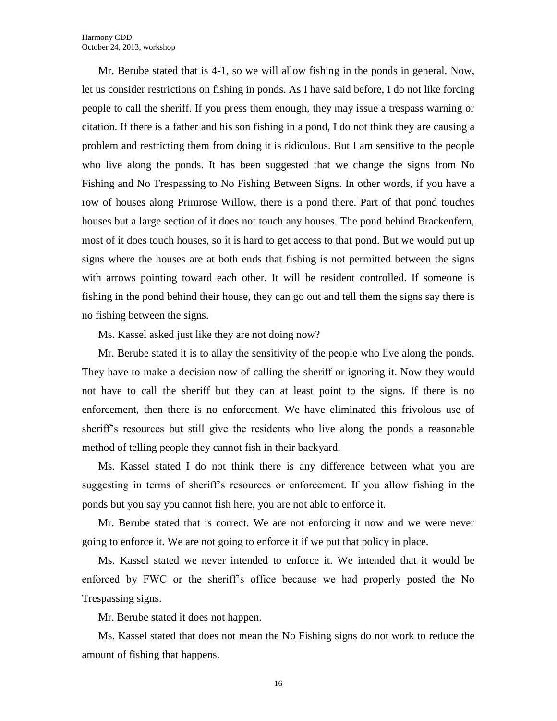Mr. Berube stated that is 4-1, so we will allow fishing in the ponds in general. Now, let us consider restrictions on fishing in ponds. As I have said before, I do not like forcing people to call the sheriff. If you press them enough, they may issue a trespass warning or citation. If there is a father and his son fishing in a pond, I do not think they are causing a problem and restricting them from doing it is ridiculous. But I am sensitive to the people who live along the ponds. It has been suggested that we change the signs from No Fishing and No Trespassing to No Fishing Between Signs. In other words, if you have a row of houses along Primrose Willow, there is a pond there. Part of that pond touches houses but a large section of it does not touch any houses. The pond behind Brackenfern, most of it does touch houses, so it is hard to get access to that pond. But we would put up signs where the houses are at both ends that fishing is not permitted between the signs with arrows pointing toward each other. It will be resident controlled. If someone is fishing in the pond behind their house, they can go out and tell them the signs say there is no fishing between the signs.

Ms. Kassel asked just like they are not doing now?

Mr. Berube stated it is to allay the sensitivity of the people who live along the ponds. They have to make a decision now of calling the sheriff or ignoring it. Now they would not have to call the sheriff but they can at least point to the signs. If there is no enforcement, then there is no enforcement. We have eliminated this frivolous use of sheriff's resources but still give the residents who live along the ponds a reasonable method of telling people they cannot fish in their backyard.

Ms. Kassel stated I do not think there is any difference between what you are suggesting in terms of sheriff's resources or enforcement. If you allow fishing in the ponds but you say you cannot fish here, you are not able to enforce it.

Mr. Berube stated that is correct. We are not enforcing it now and we were never going to enforce it. We are not going to enforce it if we put that policy in place.

Ms. Kassel stated we never intended to enforce it. We intended that it would be enforced by FWC or the sheriff's office because we had properly posted the No Trespassing signs.

Mr. Berube stated it does not happen.

Ms. Kassel stated that does not mean the No Fishing signs do not work to reduce the amount of fishing that happens.

16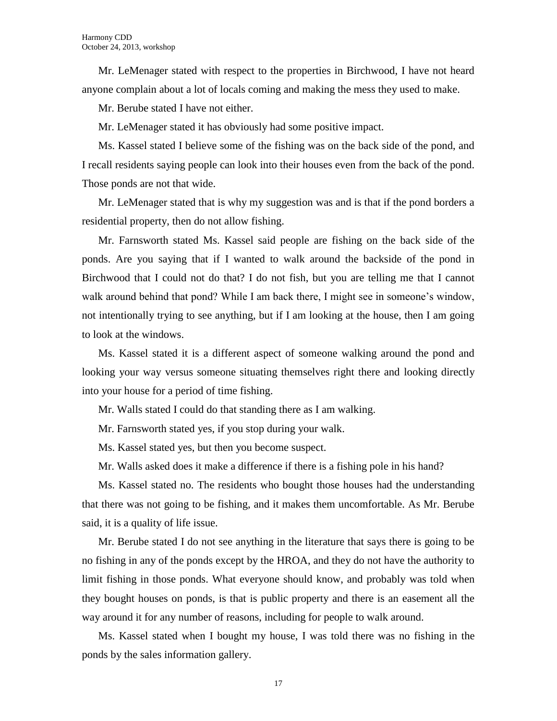Mr. LeMenager stated with respect to the properties in Birchwood, I have not heard anyone complain about a lot of locals coming and making the mess they used to make.

Mr. Berube stated I have not either.

Mr. LeMenager stated it has obviously had some positive impact.

Ms. Kassel stated I believe some of the fishing was on the back side of the pond, and I recall residents saying people can look into their houses even from the back of the pond. Those ponds are not that wide.

Mr. LeMenager stated that is why my suggestion was and is that if the pond borders a residential property, then do not allow fishing.

Mr. Farnsworth stated Ms. Kassel said people are fishing on the back side of the ponds. Are you saying that if I wanted to walk around the backside of the pond in Birchwood that I could not do that? I do not fish, but you are telling me that I cannot walk around behind that pond? While I am back there, I might see in someone's window, not intentionally trying to see anything, but if I am looking at the house, then I am going to look at the windows.

Ms. Kassel stated it is a different aspect of someone walking around the pond and looking your way versus someone situating themselves right there and looking directly into your house for a period of time fishing.

Mr. Walls stated I could do that standing there as I am walking.

Mr. Farnsworth stated yes, if you stop during your walk.

Ms. Kassel stated yes, but then you become suspect.

Mr. Walls asked does it make a difference if there is a fishing pole in his hand?

Ms. Kassel stated no. The residents who bought those houses had the understanding that there was not going to be fishing, and it makes them uncomfortable. As Mr. Berube said, it is a quality of life issue.

Mr. Berube stated I do not see anything in the literature that says there is going to be no fishing in any of the ponds except by the HROA, and they do not have the authority to limit fishing in those ponds. What everyone should know, and probably was told when they bought houses on ponds, is that is public property and there is an easement all the way around it for any number of reasons, including for people to walk around.

Ms. Kassel stated when I bought my house, I was told there was no fishing in the ponds by the sales information gallery.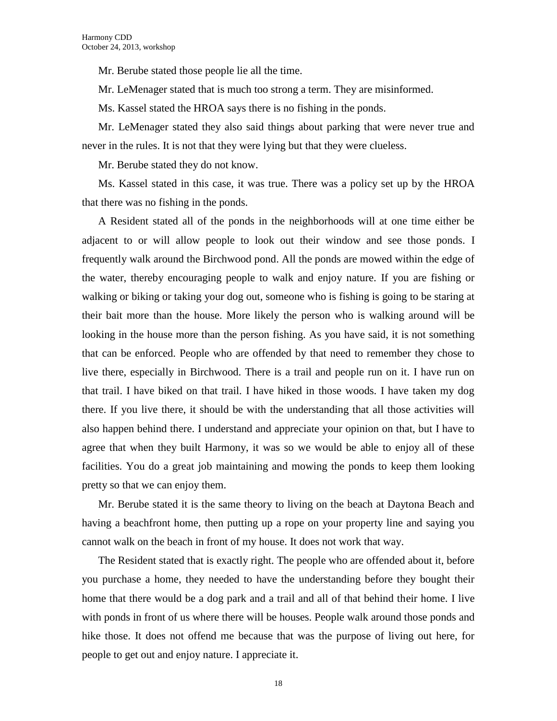Mr. Berube stated those people lie all the time.

Mr. LeMenager stated that is much too strong a term. They are misinformed.

Ms. Kassel stated the HROA says there is no fishing in the ponds.

Mr. LeMenager stated they also said things about parking that were never true and never in the rules. It is not that they were lying but that they were clueless.

Mr. Berube stated they do not know.

Ms. Kassel stated in this case, it was true. There was a policy set up by the HROA that there was no fishing in the ponds.

A Resident stated all of the ponds in the neighborhoods will at one time either be adjacent to or will allow people to look out their window and see those ponds. I frequently walk around the Birchwood pond. All the ponds are mowed within the edge of the water, thereby encouraging people to walk and enjoy nature. If you are fishing or walking or biking or taking your dog out, someone who is fishing is going to be staring at their bait more than the house. More likely the person who is walking around will be looking in the house more than the person fishing. As you have said, it is not something that can be enforced. People who are offended by that need to remember they chose to live there, especially in Birchwood. There is a trail and people run on it. I have run on that trail. I have biked on that trail. I have hiked in those woods. I have taken my dog there. If you live there, it should be with the understanding that all those activities will also happen behind there. I understand and appreciate your opinion on that, but I have to agree that when they built Harmony, it was so we would be able to enjoy all of these facilities. You do a great job maintaining and mowing the ponds to keep them looking pretty so that we can enjoy them.

Mr. Berube stated it is the same theory to living on the beach at Daytona Beach and having a beachfront home, then putting up a rope on your property line and saying you cannot walk on the beach in front of my house. It does not work that way.

The Resident stated that is exactly right. The people who are offended about it, before you purchase a home, they needed to have the understanding before they bought their home that there would be a dog park and a trail and all of that behind their home. I live with ponds in front of us where there will be houses. People walk around those ponds and hike those. It does not offend me because that was the purpose of living out here, for people to get out and enjoy nature. I appreciate it.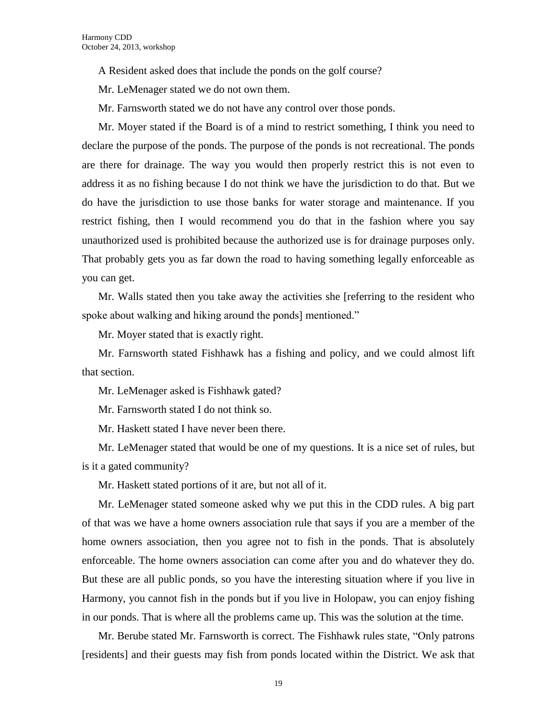A Resident asked does that include the ponds on the golf course?

Mr. LeMenager stated we do not own them.

Mr. Farnsworth stated we do not have any control over those ponds.

Mr. Moyer stated if the Board is of a mind to restrict something, I think you need to declare the purpose of the ponds. The purpose of the ponds is not recreational. The ponds are there for drainage. The way you would then properly restrict this is not even to address it as no fishing because I do not think we have the jurisdiction to do that. But we do have the jurisdiction to use those banks for water storage and maintenance. If you restrict fishing, then I would recommend you do that in the fashion where you say unauthorized used is prohibited because the authorized use is for drainage purposes only. That probably gets you as far down the road to having something legally enforceable as you can get.

Mr. Walls stated then you take away the activities she [referring to the resident who spoke about walking and hiking around the ponds] mentioned."

Mr. Moyer stated that is exactly right.

Mr. Farnsworth stated Fishhawk has a fishing and policy, and we could almost lift that section.

Mr. LeMenager asked is Fishhawk gated?

Mr. Farnsworth stated I do not think so.

Mr. Haskett stated I have never been there.

Mr. LeMenager stated that would be one of my questions. It is a nice set of rules, but is it a gated community?

Mr. Haskett stated portions of it are, but not all of it.

Mr. LeMenager stated someone asked why we put this in the CDD rules. A big part of that was we have a home owners association rule that says if you are a member of the home owners association, then you agree not to fish in the ponds. That is absolutely enforceable. The home owners association can come after you and do whatever they do. But these are all public ponds, so you have the interesting situation where if you live in Harmony, you cannot fish in the ponds but if you live in Holopaw, you can enjoy fishing in our ponds. That is where all the problems came up. This was the solution at the time.

Mr. Berube stated Mr. Farnsworth is correct. The Fishhawk rules state, "Only patrons [residents] and their guests may fish from ponds located within the District. We ask that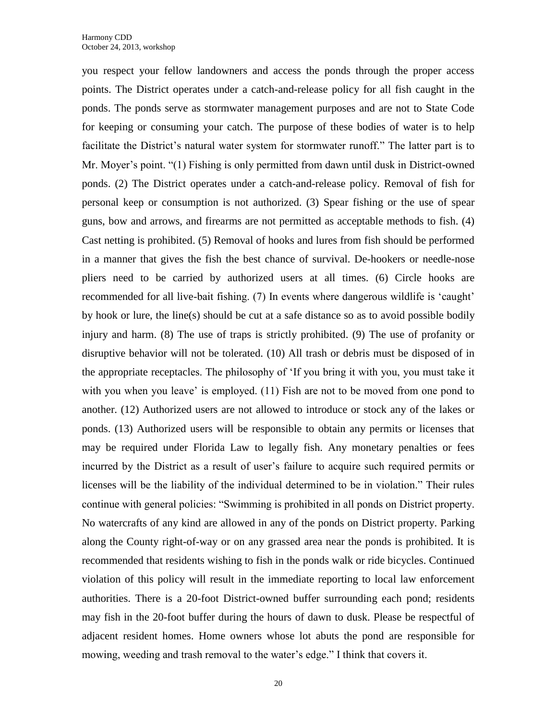you respect your fellow landowners and access the ponds through the proper access points. The District operates under a catch-and-release policy for all fish caught in the ponds. The ponds serve as stormwater management purposes and are not to State Code for keeping or consuming your catch. The purpose of these bodies of water is to help facilitate the District's natural water system for stormwater runoff." The latter part is to Mr. Moyer's point. "(1) Fishing is only permitted from dawn until dusk in District-owned ponds. (2) The District operates under a catch-and-release policy. Removal of fish for personal keep or consumption is not authorized. (3) Spear fishing or the use of spear guns, bow and arrows, and firearms are not permitted as acceptable methods to fish. (4) Cast netting is prohibited. (5) Removal of hooks and lures from fish should be performed in a manner that gives the fish the best chance of survival. De-hookers or needle-nose pliers need to be carried by authorized users at all times. (6) Circle hooks are recommended for all live-bait fishing. (7) In events where dangerous wildlife is 'caught' by hook or lure, the line(s) should be cut at a safe distance so as to avoid possible bodily injury and harm. (8) The use of traps is strictly prohibited. (9) The use of profanity or disruptive behavior will not be tolerated. (10) All trash or debris must be disposed of in the appropriate receptacles. The philosophy of 'If you bring it with you, you must take it with you when you leave' is employed. (11) Fish are not to be moved from one pond to another. (12) Authorized users are not allowed to introduce or stock any of the lakes or ponds. (13) Authorized users will be responsible to obtain any permits or licenses that may be required under Florida Law to legally fish. Any monetary penalties or fees incurred by the District as a result of user's failure to acquire such required permits or licenses will be the liability of the individual determined to be in violation." Their rules continue with general policies: "Swimming is prohibited in all ponds on District property. No watercrafts of any kind are allowed in any of the ponds on District property. Parking along the County right-of-way or on any grassed area near the ponds is prohibited. It is recommended that residents wishing to fish in the ponds walk or ride bicycles. Continued violation of this policy will result in the immediate reporting to local law enforcement authorities. There is a 20-foot District-owned buffer surrounding each pond; residents may fish in the 20-foot buffer during the hours of dawn to dusk. Please be respectful of adjacent resident homes. Home owners whose lot abuts the pond are responsible for mowing, weeding and trash removal to the water's edge." I think that covers it.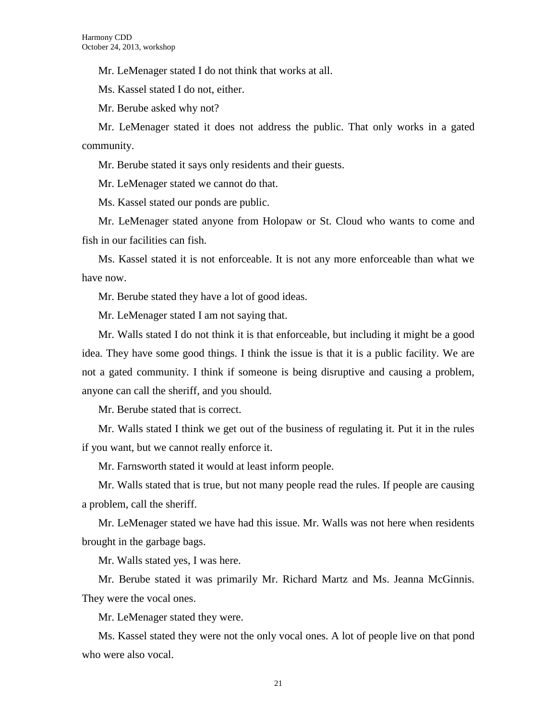Mr. LeMenager stated I do not think that works at all.

Ms. Kassel stated I do not, either.

Mr. Berube asked why not?

Mr. LeMenager stated it does not address the public. That only works in a gated community.

Mr. Berube stated it says only residents and their guests.

Mr. LeMenager stated we cannot do that.

Ms. Kassel stated our ponds are public.

Mr. LeMenager stated anyone from Holopaw or St. Cloud who wants to come and fish in our facilities can fish.

Ms. Kassel stated it is not enforceable. It is not any more enforceable than what we have now.

Mr. Berube stated they have a lot of good ideas.

Mr. LeMenager stated I am not saying that.

Mr. Walls stated I do not think it is that enforceable, but including it might be a good idea. They have some good things. I think the issue is that it is a public facility. We are not a gated community. I think if someone is being disruptive and causing a problem, anyone can call the sheriff, and you should.

Mr. Berube stated that is correct.

Mr. Walls stated I think we get out of the business of regulating it. Put it in the rules if you want, but we cannot really enforce it.

Mr. Farnsworth stated it would at least inform people.

Mr. Walls stated that is true, but not many people read the rules. If people are causing a problem, call the sheriff.

Mr. LeMenager stated we have had this issue. Mr. Walls was not here when residents brought in the garbage bags.

Mr. Walls stated yes, I was here.

Mr. Berube stated it was primarily Mr. Richard Martz and Ms. Jeanna McGinnis. They were the vocal ones.

Mr. LeMenager stated they were.

Ms. Kassel stated they were not the only vocal ones. A lot of people live on that pond who were also vocal.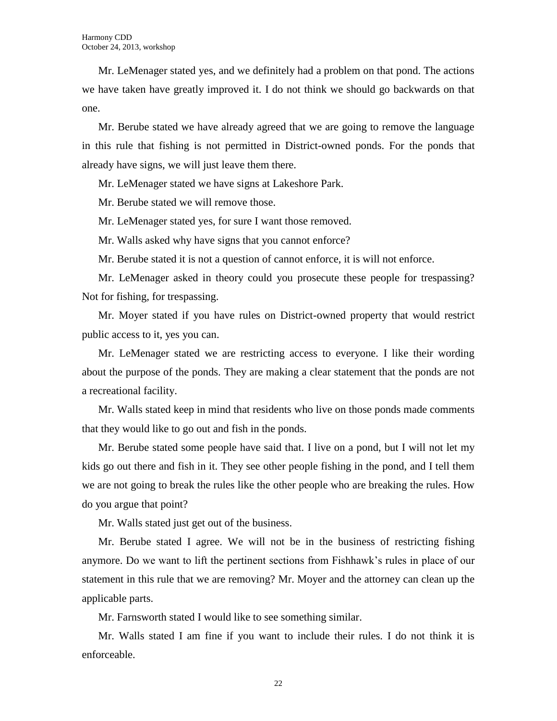Mr. LeMenager stated yes, and we definitely had a problem on that pond. The actions we have taken have greatly improved it. I do not think we should go backwards on that one.

Mr. Berube stated we have already agreed that we are going to remove the language in this rule that fishing is not permitted in District-owned ponds. For the ponds that already have signs, we will just leave them there.

Mr. LeMenager stated we have signs at Lakeshore Park.

Mr. Berube stated we will remove those.

Mr. LeMenager stated yes, for sure I want those removed.

Mr. Walls asked why have signs that you cannot enforce?

Mr. Berube stated it is not a question of cannot enforce, it is will not enforce.

Mr. LeMenager asked in theory could you prosecute these people for trespassing? Not for fishing, for trespassing.

Mr. Moyer stated if you have rules on District-owned property that would restrict public access to it, yes you can.

Mr. LeMenager stated we are restricting access to everyone. I like their wording about the purpose of the ponds. They are making a clear statement that the ponds are not a recreational facility.

Mr. Walls stated keep in mind that residents who live on those ponds made comments that they would like to go out and fish in the ponds.

Mr. Berube stated some people have said that. I live on a pond, but I will not let my kids go out there and fish in it. They see other people fishing in the pond, and I tell them we are not going to break the rules like the other people who are breaking the rules. How do you argue that point?

Mr. Walls stated just get out of the business.

Mr. Berube stated I agree. We will not be in the business of restricting fishing anymore. Do we want to lift the pertinent sections from Fishhawk's rules in place of our statement in this rule that we are removing? Mr. Moyer and the attorney can clean up the applicable parts.

Mr. Farnsworth stated I would like to see something similar.

Mr. Walls stated I am fine if you want to include their rules. I do not think it is enforceable.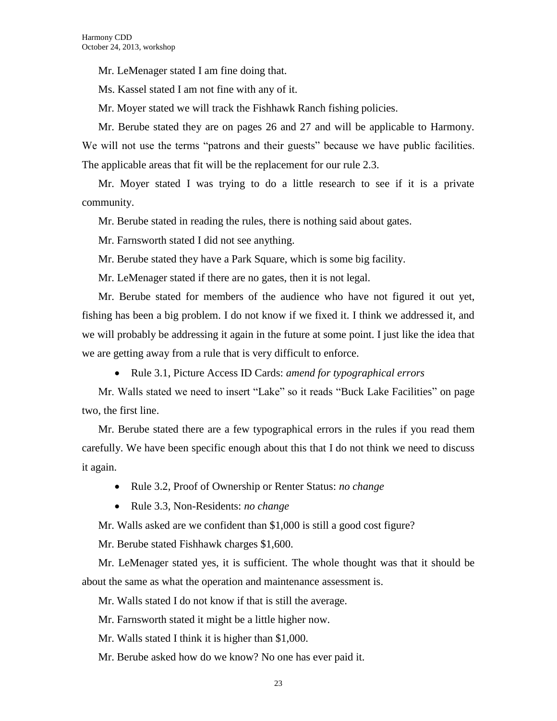Mr. LeMenager stated I am fine doing that.

Ms. Kassel stated I am not fine with any of it.

Mr. Moyer stated we will track the Fishhawk Ranch fishing policies.

Mr. Berube stated they are on pages 26 and 27 and will be applicable to Harmony. We will not use the terms "patrons and their guests" because we have public facilities. The applicable areas that fit will be the replacement for our rule 2.3.

Mr. Moyer stated I was trying to do a little research to see if it is a private community.

Mr. Berube stated in reading the rules, there is nothing said about gates.

Mr. Farnsworth stated I did not see anything.

Mr. Berube stated they have a Park Square, which is some big facility.

Mr. LeMenager stated if there are no gates, then it is not legal.

Mr. Berube stated for members of the audience who have not figured it out yet, fishing has been a big problem. I do not know if we fixed it. I think we addressed it, and we will probably be addressing it again in the future at some point. I just like the idea that we are getting away from a rule that is very difficult to enforce.

Rule 3.1, Picture Access ID Cards: *amend for typographical errors*

Mr. Walls stated we need to insert "Lake" so it reads "Buck Lake Facilities" on page two, the first line.

Mr. Berube stated there are a few typographical errors in the rules if you read them carefully. We have been specific enough about this that I do not think we need to discuss it again.

- Rule 3.2, Proof of Ownership or Renter Status: *no change*
- Rule 3.3, Non-Residents: *no change*

Mr. Walls asked are we confident than \$1,000 is still a good cost figure?

Mr. Berube stated Fishhawk charges \$1,600.

Mr. LeMenager stated yes, it is sufficient. The whole thought was that it should be about the same as what the operation and maintenance assessment is.

Mr. Walls stated I do not know if that is still the average.

Mr. Farnsworth stated it might be a little higher now.

Mr. Walls stated I think it is higher than \$1,000.

Mr. Berube asked how do we know? No one has ever paid it.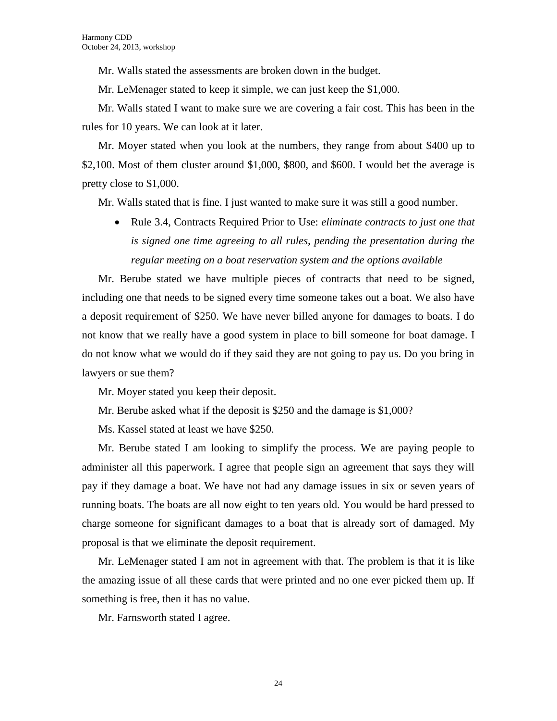Mr. Walls stated the assessments are broken down in the budget.

Mr. LeMenager stated to keep it simple, we can just keep the \$1,000.

Mr. Walls stated I want to make sure we are covering a fair cost. This has been in the rules for 10 years. We can look at it later.

Mr. Moyer stated when you look at the numbers, they range from about \$400 up to \$2,100. Most of them cluster around \$1,000, \$800, and \$600. I would bet the average is pretty close to \$1,000.

Mr. Walls stated that is fine. I just wanted to make sure it was still a good number.

 Rule 3.4, Contracts Required Prior to Use: *eliminate contracts to just one that is signed one time agreeing to all rules, pending the presentation during the regular meeting on a boat reservation system and the options available* 

Mr. Berube stated we have multiple pieces of contracts that need to be signed, including one that needs to be signed every time someone takes out a boat. We also have a deposit requirement of \$250. We have never billed anyone for damages to boats. I do not know that we really have a good system in place to bill someone for boat damage. I do not know what we would do if they said they are not going to pay us. Do you bring in lawyers or sue them?

Mr. Moyer stated you keep their deposit.

Mr. Berube asked what if the deposit is \$250 and the damage is \$1,000?

Ms. Kassel stated at least we have \$250.

Mr. Berube stated I am looking to simplify the process. We are paying people to administer all this paperwork. I agree that people sign an agreement that says they will pay if they damage a boat. We have not had any damage issues in six or seven years of running boats. The boats are all now eight to ten years old. You would be hard pressed to charge someone for significant damages to a boat that is already sort of damaged. My proposal is that we eliminate the deposit requirement.

Mr. LeMenager stated I am not in agreement with that. The problem is that it is like the amazing issue of all these cards that were printed and no one ever picked them up. If something is free, then it has no value.

Mr. Farnsworth stated I agree.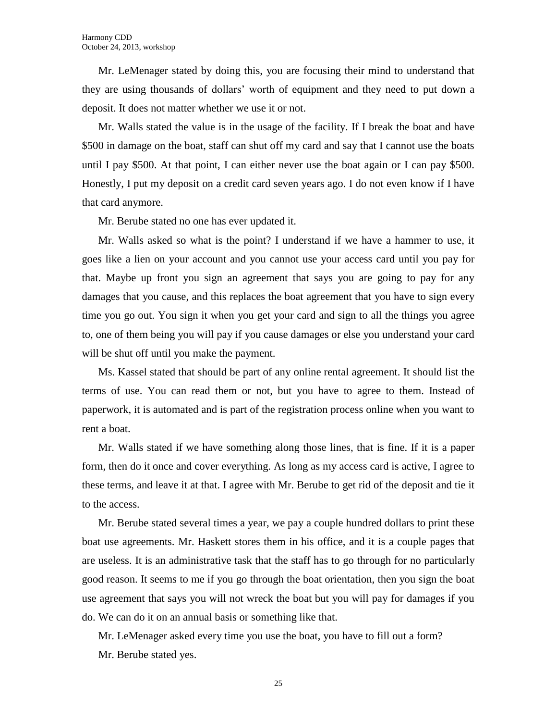Mr. LeMenager stated by doing this, you are focusing their mind to understand that they are using thousands of dollars' worth of equipment and they need to put down a deposit. It does not matter whether we use it or not.

Mr. Walls stated the value is in the usage of the facility. If I break the boat and have \$500 in damage on the boat, staff can shut off my card and say that I cannot use the boats until I pay \$500. At that point, I can either never use the boat again or I can pay \$500. Honestly, I put my deposit on a credit card seven years ago. I do not even know if I have that card anymore.

Mr. Berube stated no one has ever updated it.

Mr. Walls asked so what is the point? I understand if we have a hammer to use, it goes like a lien on your account and you cannot use your access card until you pay for that. Maybe up front you sign an agreement that says you are going to pay for any damages that you cause, and this replaces the boat agreement that you have to sign every time you go out. You sign it when you get your card and sign to all the things you agree to, one of them being you will pay if you cause damages or else you understand your card will be shut off until you make the payment.

Ms. Kassel stated that should be part of any online rental agreement. It should list the terms of use. You can read them or not, but you have to agree to them. Instead of paperwork, it is automated and is part of the registration process online when you want to rent a boat.

Mr. Walls stated if we have something along those lines, that is fine. If it is a paper form, then do it once and cover everything. As long as my access card is active, I agree to these terms, and leave it at that. I agree with Mr. Berube to get rid of the deposit and tie it to the access.

Mr. Berube stated several times a year, we pay a couple hundred dollars to print these boat use agreements. Mr. Haskett stores them in his office, and it is a couple pages that are useless. It is an administrative task that the staff has to go through for no particularly good reason. It seems to me if you go through the boat orientation, then you sign the boat use agreement that says you will not wreck the boat but you will pay for damages if you do. We can do it on an annual basis or something like that.

Mr. LeMenager asked every time you use the boat, you have to fill out a form? Mr. Berube stated yes.

25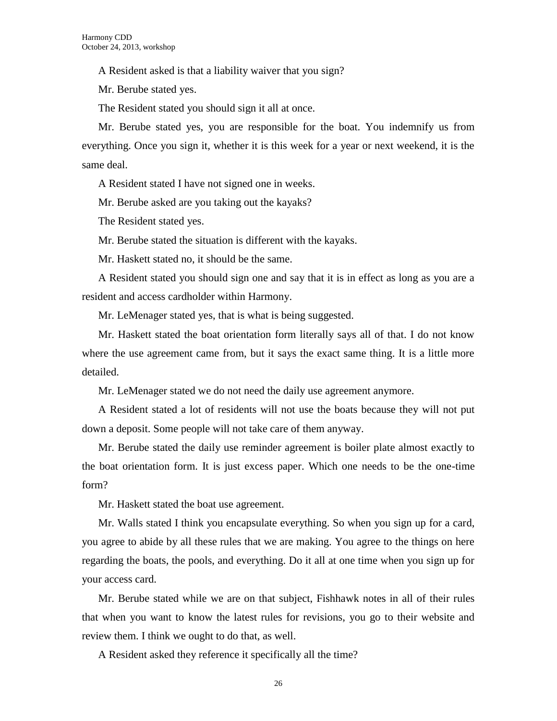A Resident asked is that a liability waiver that you sign?

Mr. Berube stated yes.

The Resident stated you should sign it all at once.

Mr. Berube stated yes, you are responsible for the boat. You indemnify us from everything. Once you sign it, whether it is this week for a year or next weekend, it is the same deal.

A Resident stated I have not signed one in weeks.

Mr. Berube asked are you taking out the kayaks?

The Resident stated yes.

Mr. Berube stated the situation is different with the kayaks.

Mr. Haskett stated no, it should be the same.

A Resident stated you should sign one and say that it is in effect as long as you are a resident and access cardholder within Harmony.

Mr. LeMenager stated yes, that is what is being suggested.

Mr. Haskett stated the boat orientation form literally says all of that. I do not know where the use agreement came from, but it says the exact same thing. It is a little more detailed.

Mr. LeMenager stated we do not need the daily use agreement anymore.

A Resident stated a lot of residents will not use the boats because they will not put down a deposit. Some people will not take care of them anyway.

Mr. Berube stated the daily use reminder agreement is boiler plate almost exactly to the boat orientation form. It is just excess paper. Which one needs to be the one-time form?

Mr. Haskett stated the boat use agreement.

Mr. Walls stated I think you encapsulate everything. So when you sign up for a card, you agree to abide by all these rules that we are making. You agree to the things on here regarding the boats, the pools, and everything. Do it all at one time when you sign up for your access card.

Mr. Berube stated while we are on that subject, Fishhawk notes in all of their rules that when you want to know the latest rules for revisions, you go to their website and review them. I think we ought to do that, as well.

A Resident asked they reference it specifically all the time?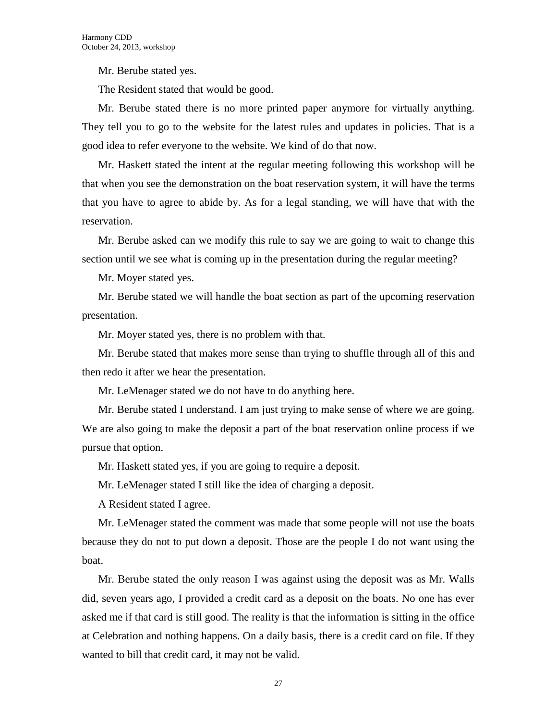Mr. Berube stated yes.

The Resident stated that would be good.

Mr. Berube stated there is no more printed paper anymore for virtually anything. They tell you to go to the website for the latest rules and updates in policies. That is a good idea to refer everyone to the website. We kind of do that now.

Mr. Haskett stated the intent at the regular meeting following this workshop will be that when you see the demonstration on the boat reservation system, it will have the terms that you have to agree to abide by. As for a legal standing, we will have that with the reservation.

Mr. Berube asked can we modify this rule to say we are going to wait to change this section until we see what is coming up in the presentation during the regular meeting?

Mr. Moyer stated yes.

Mr. Berube stated we will handle the boat section as part of the upcoming reservation presentation.

Mr. Moyer stated yes, there is no problem with that.

Mr. Berube stated that makes more sense than trying to shuffle through all of this and then redo it after we hear the presentation.

Mr. LeMenager stated we do not have to do anything here.

Mr. Berube stated I understand. I am just trying to make sense of where we are going. We are also going to make the deposit a part of the boat reservation online process if we pursue that option.

Mr. Haskett stated yes, if you are going to require a deposit.

Mr. LeMenager stated I still like the idea of charging a deposit.

A Resident stated I agree.

Mr. LeMenager stated the comment was made that some people will not use the boats because they do not to put down a deposit. Those are the people I do not want using the boat.

Mr. Berube stated the only reason I was against using the deposit was as Mr. Walls did, seven years ago, I provided a credit card as a deposit on the boats. No one has ever asked me if that card is still good. The reality is that the information is sitting in the office at Celebration and nothing happens. On a daily basis, there is a credit card on file. If they wanted to bill that credit card, it may not be valid.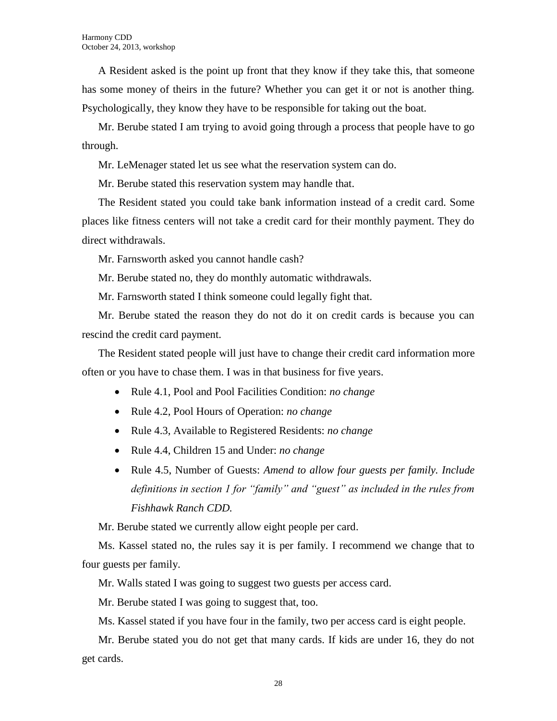A Resident asked is the point up front that they know if they take this, that someone has some money of theirs in the future? Whether you can get it or not is another thing. Psychologically, they know they have to be responsible for taking out the boat.

Mr. Berube stated I am trying to avoid going through a process that people have to go through.

Mr. LeMenager stated let us see what the reservation system can do.

Mr. Berube stated this reservation system may handle that.

The Resident stated you could take bank information instead of a credit card. Some places like fitness centers will not take a credit card for their monthly payment. They do direct withdrawals.

Mr. Farnsworth asked you cannot handle cash?

Mr. Berube stated no, they do monthly automatic withdrawals.

Mr. Farnsworth stated I think someone could legally fight that.

Mr. Berube stated the reason they do not do it on credit cards is because you can rescind the credit card payment.

The Resident stated people will just have to change their credit card information more often or you have to chase them. I was in that business for five years.

- Rule 4.1, Pool and Pool Facilities Condition: *no change*
- Rule 4.2, Pool Hours of Operation: *no change*
- Rule 4.3, Available to Registered Residents: *no change*
- Rule 4.4, Children 15 and Under: *no change*
- Rule 4.5, Number of Guests: *Amend to allow four guests per family. Include definitions in section 1 for "family" and "guest" as included in the rules from Fishhawk Ranch CDD.*

Mr. Berube stated we currently allow eight people per card.

Ms. Kassel stated no, the rules say it is per family. I recommend we change that to four guests per family.

Mr. Walls stated I was going to suggest two guests per access card.

Mr. Berube stated I was going to suggest that, too.

Ms. Kassel stated if you have four in the family, two per access card is eight people.

Mr. Berube stated you do not get that many cards. If kids are under 16, they do not get cards.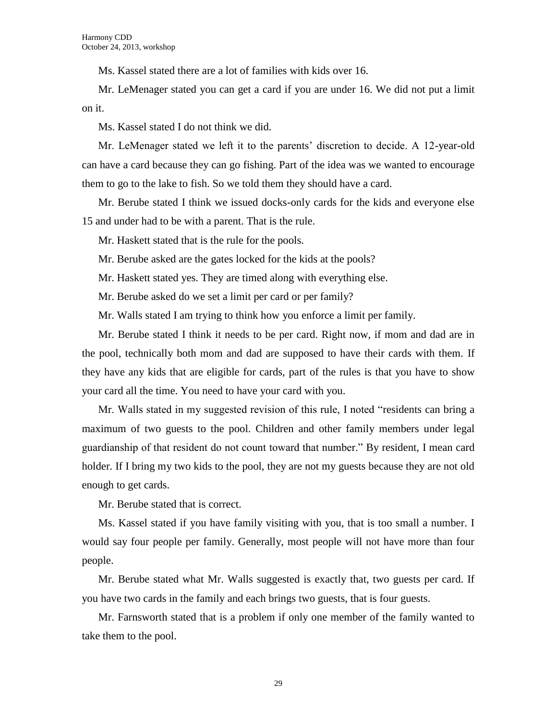Ms. Kassel stated there are a lot of families with kids over 16.

Mr. LeMenager stated you can get a card if you are under 16. We did not put a limit on it.

Ms. Kassel stated I do not think we did.

Mr. LeMenager stated we left it to the parents' discretion to decide. A 12-year-old can have a card because they can go fishing. Part of the idea was we wanted to encourage them to go to the lake to fish. So we told them they should have a card.

Mr. Berube stated I think we issued docks-only cards for the kids and everyone else 15 and under had to be with a parent. That is the rule.

Mr. Haskett stated that is the rule for the pools.

Mr. Berube asked are the gates locked for the kids at the pools?

Mr. Haskett stated yes. They are timed along with everything else.

Mr. Berube asked do we set a limit per card or per family?

Mr. Walls stated I am trying to think how you enforce a limit per family.

Mr. Berube stated I think it needs to be per card. Right now, if mom and dad are in the pool, technically both mom and dad are supposed to have their cards with them. If they have any kids that are eligible for cards, part of the rules is that you have to show your card all the time. You need to have your card with you.

Mr. Walls stated in my suggested revision of this rule, I noted "residents can bring a maximum of two guests to the pool. Children and other family members under legal guardianship of that resident do not count toward that number." By resident, I mean card holder. If I bring my two kids to the pool, they are not my guests because they are not old enough to get cards.

Mr. Berube stated that is correct.

Ms. Kassel stated if you have family visiting with you, that is too small a number. I would say four people per family. Generally, most people will not have more than four people.

Mr. Berube stated what Mr. Walls suggested is exactly that, two guests per card. If you have two cards in the family and each brings two guests, that is four guests.

Mr. Farnsworth stated that is a problem if only one member of the family wanted to take them to the pool.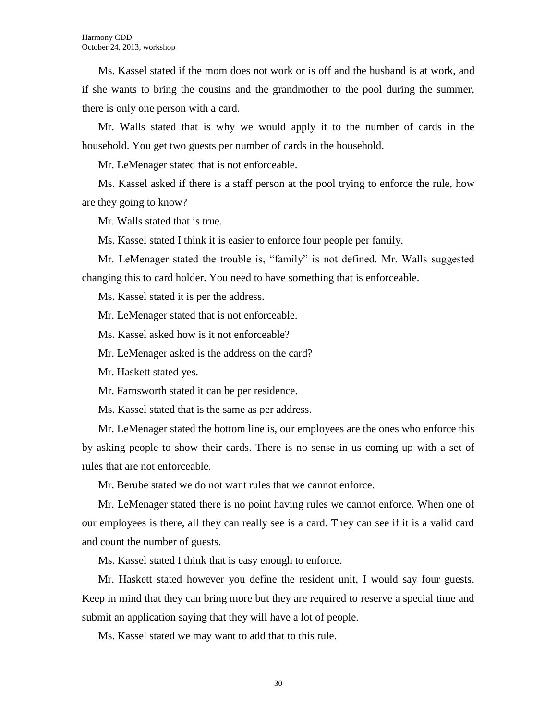Ms. Kassel stated if the mom does not work or is off and the husband is at work, and if she wants to bring the cousins and the grandmother to the pool during the summer, there is only one person with a card.

Mr. Walls stated that is why we would apply it to the number of cards in the household. You get two guests per number of cards in the household.

Mr. LeMenager stated that is not enforceable.

Ms. Kassel asked if there is a staff person at the pool trying to enforce the rule, how are they going to know?

Mr. Walls stated that is true.

Ms. Kassel stated I think it is easier to enforce four people per family.

Mr. LeMenager stated the trouble is, "family" is not defined. Mr. Walls suggested changing this to card holder. You need to have something that is enforceable.

Ms. Kassel stated it is per the address.

Mr. LeMenager stated that is not enforceable.

Ms. Kassel asked how is it not enforceable?

Mr. LeMenager asked is the address on the card?

Mr. Haskett stated yes.

Mr. Farnsworth stated it can be per residence.

Ms. Kassel stated that is the same as per address.

Mr. LeMenager stated the bottom line is, our employees are the ones who enforce this by asking people to show their cards. There is no sense in us coming up with a set of rules that are not enforceable.

Mr. Berube stated we do not want rules that we cannot enforce.

Mr. LeMenager stated there is no point having rules we cannot enforce. When one of our employees is there, all they can really see is a card. They can see if it is a valid card and count the number of guests.

Ms. Kassel stated I think that is easy enough to enforce.

Mr. Haskett stated however you define the resident unit, I would say four guests. Keep in mind that they can bring more but they are required to reserve a special time and submit an application saying that they will have a lot of people.

Ms. Kassel stated we may want to add that to this rule.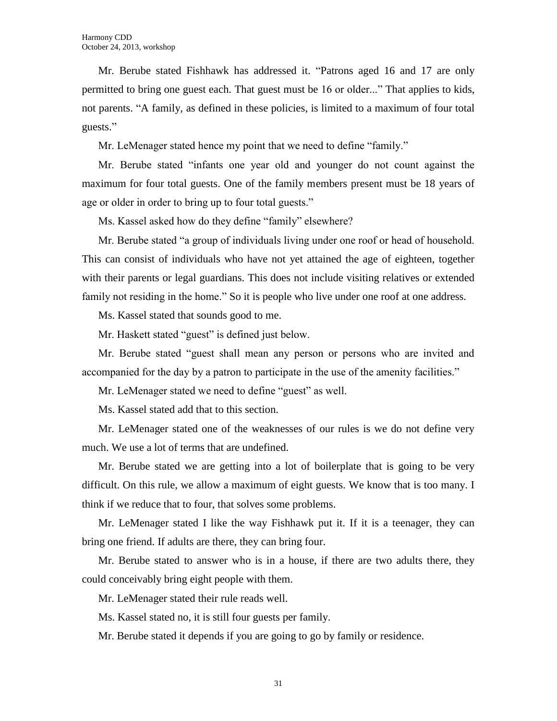Mr. Berube stated Fishhawk has addressed it. "Patrons aged 16 and 17 are only permitted to bring one guest each. That guest must be 16 or older..." That applies to kids, not parents. "A family, as defined in these policies, is limited to a maximum of four total guests."

Mr. LeMenager stated hence my point that we need to define "family."

Mr. Berube stated "infants one year old and younger do not count against the maximum for four total guests. One of the family members present must be 18 years of age or older in order to bring up to four total guests."

Ms. Kassel asked how do they define "family" elsewhere?

Mr. Berube stated "a group of individuals living under one roof or head of household. This can consist of individuals who have not yet attained the age of eighteen, together with their parents or legal guardians. This does not include visiting relatives or extended family not residing in the home." So it is people who live under one roof at one address.

Ms. Kassel stated that sounds good to me.

Mr. Haskett stated "guest" is defined just below.

Mr. Berube stated "guest shall mean any person or persons who are invited and accompanied for the day by a patron to participate in the use of the amenity facilities."

Mr. LeMenager stated we need to define "guest" as well.

Ms. Kassel stated add that to this section.

Mr. LeMenager stated one of the weaknesses of our rules is we do not define very much. We use a lot of terms that are undefined.

Mr. Berube stated we are getting into a lot of boilerplate that is going to be very difficult. On this rule, we allow a maximum of eight guests. We know that is too many. I think if we reduce that to four, that solves some problems.

Mr. LeMenager stated I like the way Fishhawk put it. If it is a teenager, they can bring one friend. If adults are there, they can bring four.

Mr. Berube stated to answer who is in a house, if there are two adults there, they could conceivably bring eight people with them.

Mr. LeMenager stated their rule reads well.

Ms. Kassel stated no, it is still four guests per family.

Mr. Berube stated it depends if you are going to go by family or residence.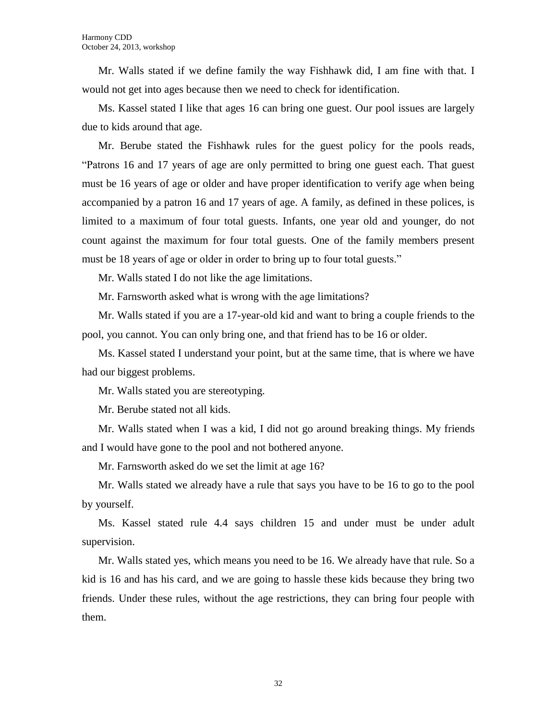Mr. Walls stated if we define family the way Fishhawk did, I am fine with that. I would not get into ages because then we need to check for identification.

Ms. Kassel stated I like that ages 16 can bring one guest. Our pool issues are largely due to kids around that age.

Mr. Berube stated the Fishhawk rules for the guest policy for the pools reads, "Patrons 16 and 17 years of age are only permitted to bring one guest each. That guest must be 16 years of age or older and have proper identification to verify age when being accompanied by a patron 16 and 17 years of age. A family, as defined in these polices, is limited to a maximum of four total guests. Infants, one year old and younger, do not count against the maximum for four total guests. One of the family members present must be 18 years of age or older in order to bring up to four total guests."

Mr. Walls stated I do not like the age limitations.

Mr. Farnsworth asked what is wrong with the age limitations?

Mr. Walls stated if you are a 17-year-old kid and want to bring a couple friends to the pool, you cannot. You can only bring one, and that friend has to be 16 or older.

Ms. Kassel stated I understand your point, but at the same time, that is where we have had our biggest problems.

Mr. Walls stated you are stereotyping.

Mr. Berube stated not all kids.

Mr. Walls stated when I was a kid, I did not go around breaking things. My friends and I would have gone to the pool and not bothered anyone.

Mr. Farnsworth asked do we set the limit at age 16?

Mr. Walls stated we already have a rule that says you have to be 16 to go to the pool by yourself.

Ms. Kassel stated rule 4.4 says children 15 and under must be under adult supervision.

Mr. Walls stated yes, which means you need to be 16. We already have that rule. So a kid is 16 and has his card, and we are going to hassle these kids because they bring two friends. Under these rules, without the age restrictions, they can bring four people with them.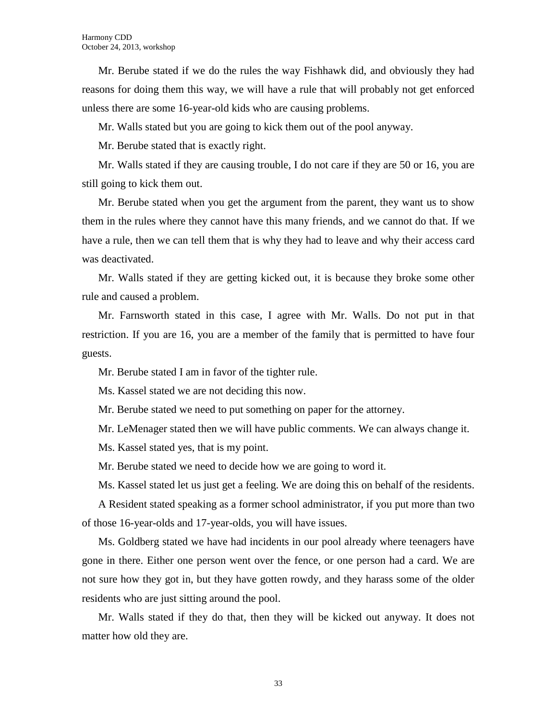Mr. Berube stated if we do the rules the way Fishhawk did, and obviously they had reasons for doing them this way, we will have a rule that will probably not get enforced unless there are some 16-year-old kids who are causing problems.

Mr. Walls stated but you are going to kick them out of the pool anyway.

Mr. Berube stated that is exactly right.

Mr. Walls stated if they are causing trouble, I do not care if they are 50 or 16, you are still going to kick them out.

Mr. Berube stated when you get the argument from the parent, they want us to show them in the rules where they cannot have this many friends, and we cannot do that. If we have a rule, then we can tell them that is why they had to leave and why their access card was deactivated.

Mr. Walls stated if they are getting kicked out, it is because they broke some other rule and caused a problem.

Mr. Farnsworth stated in this case, I agree with Mr. Walls. Do not put in that restriction. If you are 16, you are a member of the family that is permitted to have four guests.

Mr. Berube stated I am in favor of the tighter rule.

Ms. Kassel stated we are not deciding this now.

Mr. Berube stated we need to put something on paper for the attorney.

Mr. LeMenager stated then we will have public comments. We can always change it.

Ms. Kassel stated yes, that is my point.

Mr. Berube stated we need to decide how we are going to word it.

Ms. Kassel stated let us just get a feeling. We are doing this on behalf of the residents.

A Resident stated speaking as a former school administrator, if you put more than two of those 16-year-olds and 17-year-olds, you will have issues.

Ms. Goldberg stated we have had incidents in our pool already where teenagers have gone in there. Either one person went over the fence, or one person had a card. We are not sure how they got in, but they have gotten rowdy, and they harass some of the older residents who are just sitting around the pool.

Mr. Walls stated if they do that, then they will be kicked out anyway. It does not matter how old they are.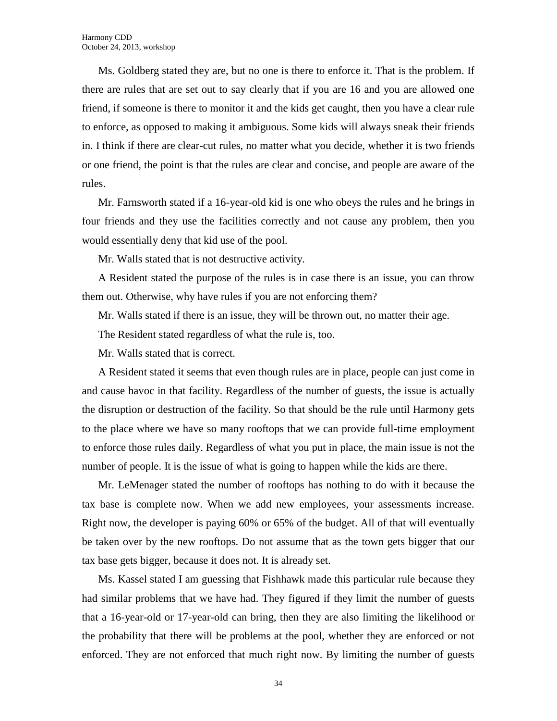Ms. Goldberg stated they are, but no one is there to enforce it. That is the problem. If there are rules that are set out to say clearly that if you are 16 and you are allowed one friend, if someone is there to monitor it and the kids get caught, then you have a clear rule to enforce, as opposed to making it ambiguous. Some kids will always sneak their friends in. I think if there are clear-cut rules, no matter what you decide, whether it is two friends or one friend, the point is that the rules are clear and concise, and people are aware of the rules.

Mr. Farnsworth stated if a 16-year-old kid is one who obeys the rules and he brings in four friends and they use the facilities correctly and not cause any problem, then you would essentially deny that kid use of the pool.

Mr. Walls stated that is not destructive activity.

A Resident stated the purpose of the rules is in case there is an issue, you can throw them out. Otherwise, why have rules if you are not enforcing them?

Mr. Walls stated if there is an issue, they will be thrown out, no matter their age.

The Resident stated regardless of what the rule is, too.

Mr. Walls stated that is correct.

A Resident stated it seems that even though rules are in place, people can just come in and cause havoc in that facility. Regardless of the number of guests, the issue is actually the disruption or destruction of the facility. So that should be the rule until Harmony gets to the place where we have so many rooftops that we can provide full-time employment to enforce those rules daily. Regardless of what you put in place, the main issue is not the number of people. It is the issue of what is going to happen while the kids are there.

Mr. LeMenager stated the number of rooftops has nothing to do with it because the tax base is complete now. When we add new employees, your assessments increase. Right now, the developer is paying 60% or 65% of the budget. All of that will eventually be taken over by the new rooftops. Do not assume that as the town gets bigger that our tax base gets bigger, because it does not. It is already set.

Ms. Kassel stated I am guessing that Fishhawk made this particular rule because they had similar problems that we have had. They figured if they limit the number of guests that a 16-year-old or 17-year-old can bring, then they are also limiting the likelihood or the probability that there will be problems at the pool, whether they are enforced or not enforced. They are not enforced that much right now. By limiting the number of guests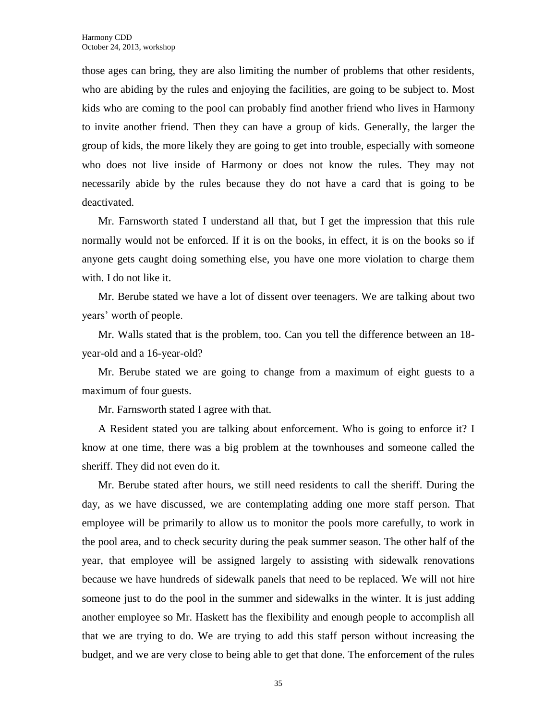those ages can bring, they are also limiting the number of problems that other residents, who are abiding by the rules and enjoying the facilities, are going to be subject to. Most kids who are coming to the pool can probably find another friend who lives in Harmony to invite another friend. Then they can have a group of kids. Generally, the larger the group of kids, the more likely they are going to get into trouble, especially with someone who does not live inside of Harmony or does not know the rules. They may not necessarily abide by the rules because they do not have a card that is going to be deactivated.

Mr. Farnsworth stated I understand all that, but I get the impression that this rule normally would not be enforced. If it is on the books, in effect, it is on the books so if anyone gets caught doing something else, you have one more violation to charge them with. I do not like it.

Mr. Berube stated we have a lot of dissent over teenagers. We are talking about two years' worth of people.

Mr. Walls stated that is the problem, too. Can you tell the difference between an 18 year-old and a 16-year-old?

Mr. Berube stated we are going to change from a maximum of eight guests to a maximum of four guests.

Mr. Farnsworth stated I agree with that.

A Resident stated you are talking about enforcement. Who is going to enforce it? I know at one time, there was a big problem at the townhouses and someone called the sheriff. They did not even do it.

Mr. Berube stated after hours, we still need residents to call the sheriff. During the day, as we have discussed, we are contemplating adding one more staff person. That employee will be primarily to allow us to monitor the pools more carefully, to work in the pool area, and to check security during the peak summer season. The other half of the year, that employee will be assigned largely to assisting with sidewalk renovations because we have hundreds of sidewalk panels that need to be replaced. We will not hire someone just to do the pool in the summer and sidewalks in the winter. It is just adding another employee so Mr. Haskett has the flexibility and enough people to accomplish all that we are trying to do. We are trying to add this staff person without increasing the budget, and we are very close to being able to get that done. The enforcement of the rules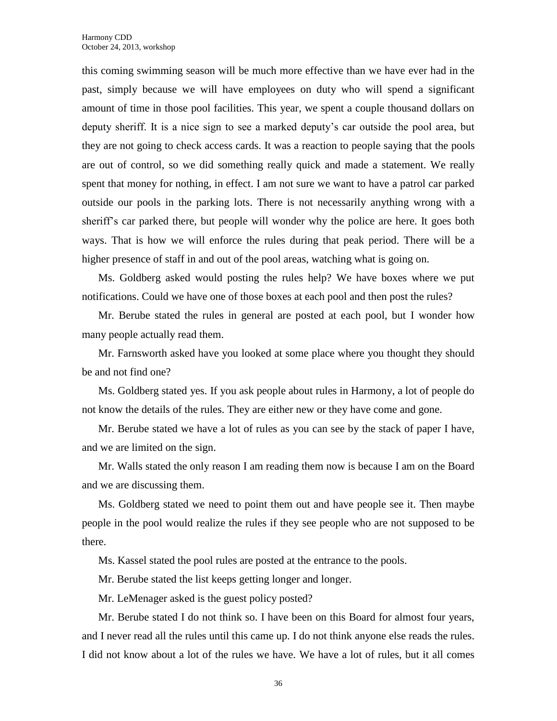this coming swimming season will be much more effective than we have ever had in the past, simply because we will have employees on duty who will spend a significant amount of time in those pool facilities. This year, we spent a couple thousand dollars on deputy sheriff. It is a nice sign to see a marked deputy's car outside the pool area, but they are not going to check access cards. It was a reaction to people saying that the pools are out of control, so we did something really quick and made a statement. We really spent that money for nothing, in effect. I am not sure we want to have a patrol car parked outside our pools in the parking lots. There is not necessarily anything wrong with a sheriff's car parked there, but people will wonder why the police are here. It goes both ways. That is how we will enforce the rules during that peak period. There will be a higher presence of staff in and out of the pool areas, watching what is going on.

Ms. Goldberg asked would posting the rules help? We have boxes where we put notifications. Could we have one of those boxes at each pool and then post the rules?

Mr. Berube stated the rules in general are posted at each pool, but I wonder how many people actually read them.

Mr. Farnsworth asked have you looked at some place where you thought they should be and not find one?

Ms. Goldberg stated yes. If you ask people about rules in Harmony, a lot of people do not know the details of the rules. They are either new or they have come and gone.

Mr. Berube stated we have a lot of rules as you can see by the stack of paper I have, and we are limited on the sign.

Mr. Walls stated the only reason I am reading them now is because I am on the Board and we are discussing them.

Ms. Goldberg stated we need to point them out and have people see it. Then maybe people in the pool would realize the rules if they see people who are not supposed to be there.

Ms. Kassel stated the pool rules are posted at the entrance to the pools.

Mr. Berube stated the list keeps getting longer and longer.

Mr. LeMenager asked is the guest policy posted?

Mr. Berube stated I do not think so. I have been on this Board for almost four years, and I never read all the rules until this came up. I do not think anyone else reads the rules. I did not know about a lot of the rules we have. We have a lot of rules, but it all comes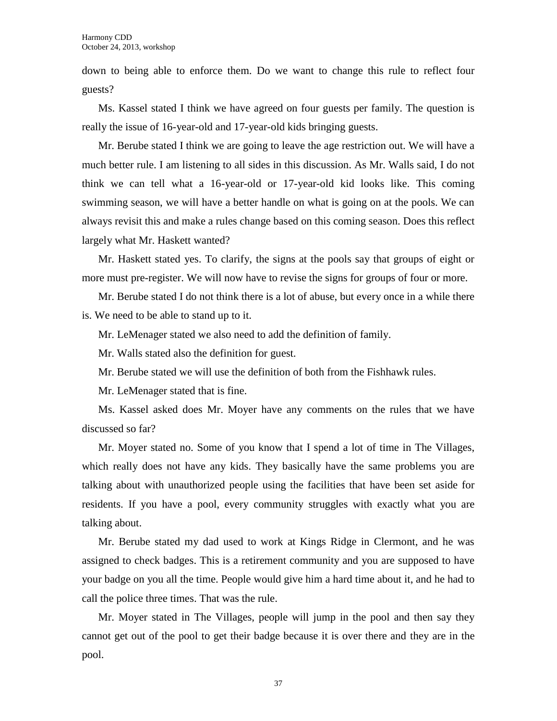down to being able to enforce them. Do we want to change this rule to reflect four guests?

Ms. Kassel stated I think we have agreed on four guests per family. The question is really the issue of 16-year-old and 17-year-old kids bringing guests.

Mr. Berube stated I think we are going to leave the age restriction out. We will have a much better rule. I am listening to all sides in this discussion. As Mr. Walls said, I do not think we can tell what a 16-year-old or 17-year-old kid looks like. This coming swimming season, we will have a better handle on what is going on at the pools. We can always revisit this and make a rules change based on this coming season. Does this reflect largely what Mr. Haskett wanted?

Mr. Haskett stated yes. To clarify, the signs at the pools say that groups of eight or more must pre-register. We will now have to revise the signs for groups of four or more.

Mr. Berube stated I do not think there is a lot of abuse, but every once in a while there is. We need to be able to stand up to it.

Mr. LeMenager stated we also need to add the definition of family.

Mr. Walls stated also the definition for guest.

Mr. Berube stated we will use the definition of both from the Fishhawk rules.

Mr. LeMenager stated that is fine.

Ms. Kassel asked does Mr. Moyer have any comments on the rules that we have discussed so far?

Mr. Moyer stated no. Some of you know that I spend a lot of time in The Villages, which really does not have any kids. They basically have the same problems you are talking about with unauthorized people using the facilities that have been set aside for residents. If you have a pool, every community struggles with exactly what you are talking about.

Mr. Berube stated my dad used to work at Kings Ridge in Clermont, and he was assigned to check badges. This is a retirement community and you are supposed to have your badge on you all the time. People would give him a hard time about it, and he had to call the police three times. That was the rule.

Mr. Moyer stated in The Villages, people will jump in the pool and then say they cannot get out of the pool to get their badge because it is over there and they are in the pool.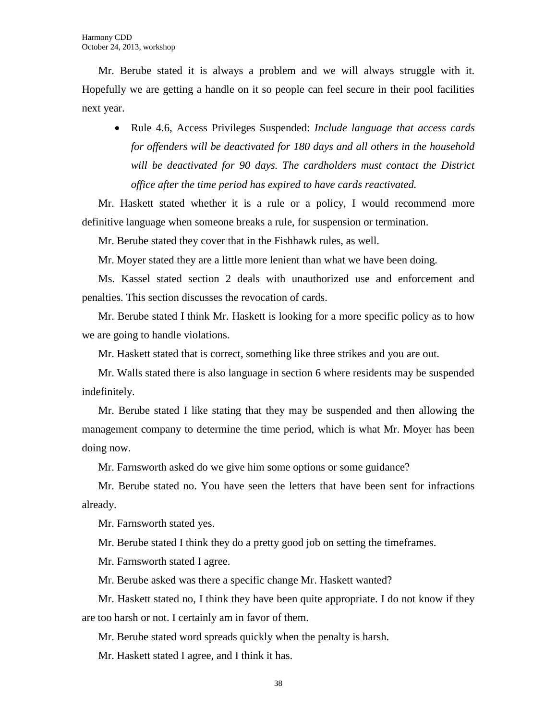Mr. Berube stated it is always a problem and we will always struggle with it. Hopefully we are getting a handle on it so people can feel secure in their pool facilities next year.

 Rule 4.6, Access Privileges Suspended: *Include language that access cards for offenders will be deactivated for 180 days and all others in the household will be deactivated for 90 days. The cardholders must contact the District office after the time period has expired to have cards reactivated.*

Mr. Haskett stated whether it is a rule or a policy, I would recommend more definitive language when someone breaks a rule, for suspension or termination.

Mr. Berube stated they cover that in the Fishhawk rules, as well.

Mr. Moyer stated they are a little more lenient than what we have been doing.

Ms. Kassel stated section 2 deals with unauthorized use and enforcement and penalties. This section discusses the revocation of cards.

Mr. Berube stated I think Mr. Haskett is looking for a more specific policy as to how we are going to handle violations.

Mr. Haskett stated that is correct, something like three strikes and you are out.

Mr. Walls stated there is also language in section 6 where residents may be suspended indefinitely.

Mr. Berube stated I like stating that they may be suspended and then allowing the management company to determine the time period, which is what Mr. Moyer has been doing now.

Mr. Farnsworth asked do we give him some options or some guidance?

Mr. Berube stated no. You have seen the letters that have been sent for infractions already.

Mr. Farnsworth stated yes.

Mr. Berube stated I think they do a pretty good job on setting the timeframes.

Mr. Farnsworth stated I agree.

Mr. Berube asked was there a specific change Mr. Haskett wanted?

Mr. Haskett stated no, I think they have been quite appropriate. I do not know if they are too harsh or not. I certainly am in favor of them.

Mr. Berube stated word spreads quickly when the penalty is harsh.

Mr. Haskett stated I agree, and I think it has.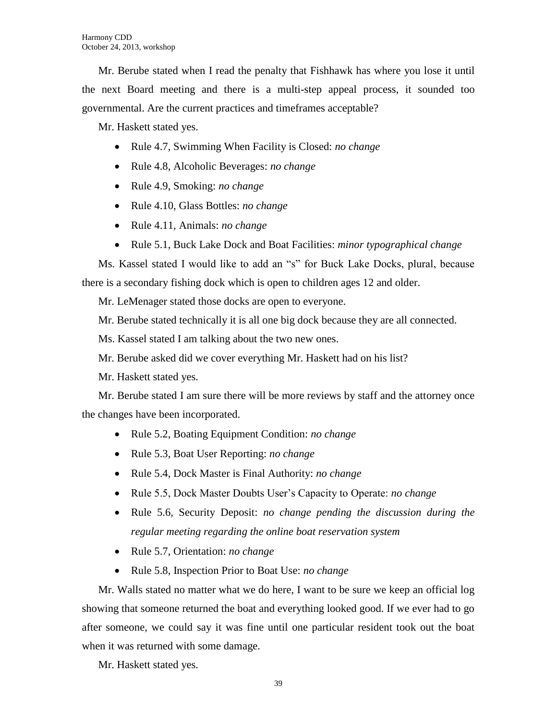Mr. Berube stated when I read the penalty that Fishhawk has where you lose it until the next Board meeting and there is a multi-step appeal process, it sounded too governmental. Are the current practices and timeframes acceptable?

Mr. Haskett stated yes.

- Rule 4.7, Swimming When Facility is Closed: *no change*
- Rule 4.8, Alcoholic Beverages: *no change*
- Rule 4.9, Smoking: *no change*
- Rule 4.10, Glass Bottles: *no change*
- Rule 4.11, Animals: *no change*
- Rule 5.1, Buck Lake Dock and Boat Facilities: *minor typographical change*

Ms. Kassel stated I would like to add an "s" for Buck Lake Docks, plural, because there is a secondary fishing dock which is open to children ages 12 and older.

Mr. LeMenager stated those docks are open to everyone.

Mr. Berube stated technically it is all one big dock because they are all connected.

Ms. Kassel stated I am talking about the two new ones.

Mr. Berube asked did we cover everything Mr. Haskett had on his list?

Mr. Haskett stated yes.

Mr. Berube stated I am sure there will be more reviews by staff and the attorney once the changes have been incorporated.

- Rule 5.2, Boating Equipment Condition: *no change*
- Rule 5.3, Boat User Reporting: *no change*
- Rule 5.4, Dock Master is Final Authority: *no change*
- Rule 5.5, Dock Master Doubts User's Capacity to Operate: *no change*
- Rule 5.6, Security Deposit: *no change pending the discussion during the regular meeting regarding the online boat reservation system*
- Rule 5.7, Orientation: *no change*
- Rule 5.8, Inspection Prior to Boat Use: *no change*

Mr. Walls stated no matter what we do here, I want to be sure we keep an official log showing that someone returned the boat and everything looked good. If we ever had to go after someone, we could say it was fine until one particular resident took out the boat when it was returned with some damage.

Mr. Haskett stated yes.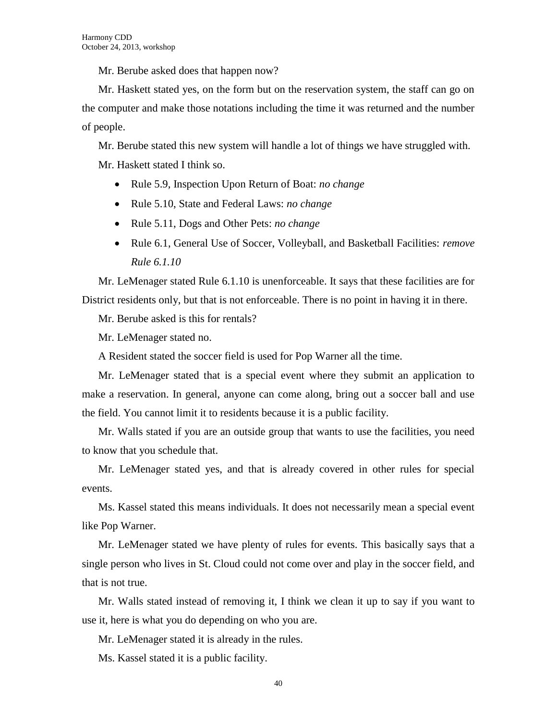Mr. Berube asked does that happen now?

Mr. Haskett stated yes, on the form but on the reservation system, the staff can go on the computer and make those notations including the time it was returned and the number of people.

Mr. Berube stated this new system will handle a lot of things we have struggled with. Mr. Haskett stated I think so.

- Rule 5.9, Inspection Upon Return of Boat: *no change*
- Rule 5.10, State and Federal Laws: *no change*
- Rule 5.11, Dogs and Other Pets: *no change*
- Rule 6.1, General Use of Soccer, Volleyball, and Basketball Facilities: *remove Rule 6.1.10*

Mr. LeMenager stated Rule 6.1.10 is unenforceable. It says that these facilities are for District residents only, but that is not enforceable. There is no point in having it in there.

Mr. Berube asked is this for rentals?

Mr. LeMenager stated no.

A Resident stated the soccer field is used for Pop Warner all the time.

Mr. LeMenager stated that is a special event where they submit an application to make a reservation. In general, anyone can come along, bring out a soccer ball and use the field. You cannot limit it to residents because it is a public facility.

Mr. Walls stated if you are an outside group that wants to use the facilities, you need to know that you schedule that.

Mr. LeMenager stated yes, and that is already covered in other rules for special events.

Ms. Kassel stated this means individuals. It does not necessarily mean a special event like Pop Warner.

Mr. LeMenager stated we have plenty of rules for events. This basically says that a single person who lives in St. Cloud could not come over and play in the soccer field, and that is not true.

Mr. Walls stated instead of removing it, I think we clean it up to say if you want to use it, here is what you do depending on who you are.

Mr. LeMenager stated it is already in the rules.

Ms. Kassel stated it is a public facility.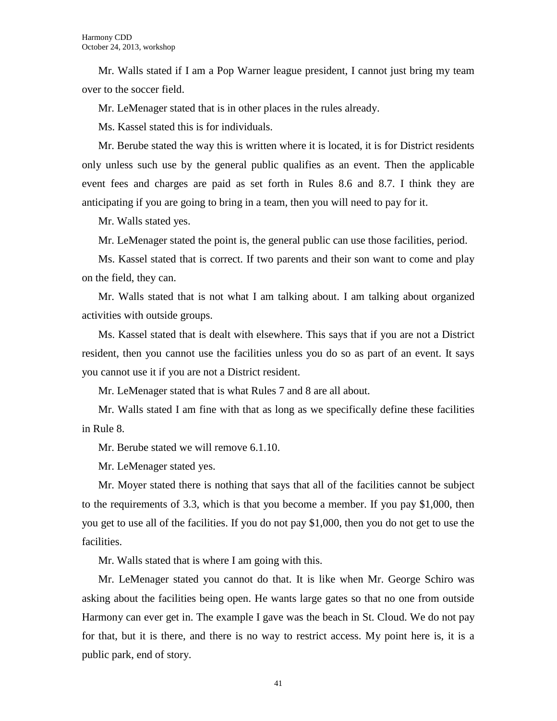Mr. Walls stated if I am a Pop Warner league president, I cannot just bring my team over to the soccer field.

Mr. LeMenager stated that is in other places in the rules already.

Ms. Kassel stated this is for individuals.

Mr. Berube stated the way this is written where it is located, it is for District residents only unless such use by the general public qualifies as an event. Then the applicable event fees and charges are paid as set forth in Rules 8.6 and 8.7. I think they are anticipating if you are going to bring in a team, then you will need to pay for it.

Mr. Walls stated yes.

Mr. LeMenager stated the point is, the general public can use those facilities, period.

Ms. Kassel stated that is correct. If two parents and their son want to come and play on the field, they can.

Mr. Walls stated that is not what I am talking about. I am talking about organized activities with outside groups.

Ms. Kassel stated that is dealt with elsewhere. This says that if you are not a District resident, then you cannot use the facilities unless you do so as part of an event. It says you cannot use it if you are not a District resident.

Mr. LeMenager stated that is what Rules 7 and 8 are all about.

Mr. Walls stated I am fine with that as long as we specifically define these facilities in Rule 8.

Mr. Berube stated we will remove 6.1.10.

Mr. LeMenager stated yes.

Mr. Moyer stated there is nothing that says that all of the facilities cannot be subject to the requirements of 3.3, which is that you become a member. If you pay \$1,000, then you get to use all of the facilities. If you do not pay \$1,000, then you do not get to use the facilities.

Mr. Walls stated that is where I am going with this.

Mr. LeMenager stated you cannot do that. It is like when Mr. George Schiro was asking about the facilities being open. He wants large gates so that no one from outside Harmony can ever get in. The example I gave was the beach in St. Cloud. We do not pay for that, but it is there, and there is no way to restrict access. My point here is, it is a public park, end of story.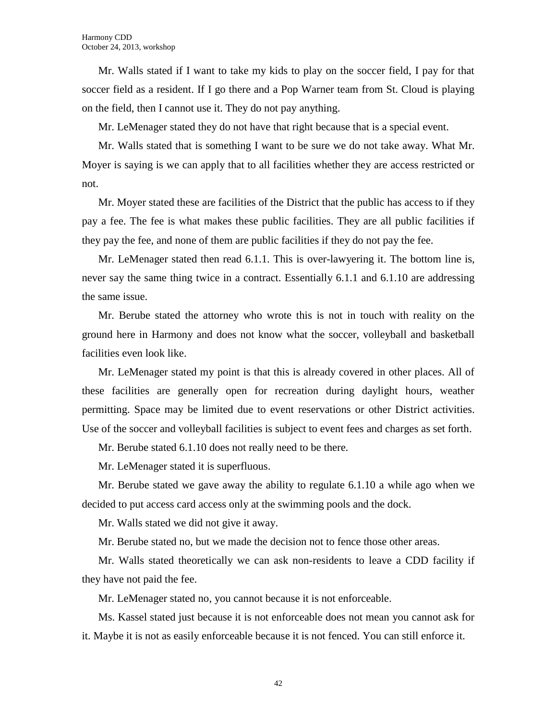Mr. Walls stated if I want to take my kids to play on the soccer field, I pay for that soccer field as a resident. If I go there and a Pop Warner team from St. Cloud is playing on the field, then I cannot use it. They do not pay anything.

Mr. LeMenager stated they do not have that right because that is a special event.

Mr. Walls stated that is something I want to be sure we do not take away. What Mr. Moyer is saying is we can apply that to all facilities whether they are access restricted or not.

Mr. Moyer stated these are facilities of the District that the public has access to if they pay a fee. The fee is what makes these public facilities. They are all public facilities if they pay the fee, and none of them are public facilities if they do not pay the fee.

Mr. LeMenager stated then read 6.1.1. This is over-lawyering it. The bottom line is, never say the same thing twice in a contract. Essentially 6.1.1 and 6.1.10 are addressing the same issue.

Mr. Berube stated the attorney who wrote this is not in touch with reality on the ground here in Harmony and does not know what the soccer, volleyball and basketball facilities even look like.

Mr. LeMenager stated my point is that this is already covered in other places. All of these facilities are generally open for recreation during daylight hours, weather permitting. Space may be limited due to event reservations or other District activities. Use of the soccer and volleyball facilities is subject to event fees and charges as set forth.

Mr. Berube stated 6.1.10 does not really need to be there.

Mr. LeMenager stated it is superfluous.

Mr. Berube stated we gave away the ability to regulate 6.1.10 a while ago when we decided to put access card access only at the swimming pools and the dock.

Mr. Walls stated we did not give it away.

Mr. Berube stated no, but we made the decision not to fence those other areas.

Mr. Walls stated theoretically we can ask non-residents to leave a CDD facility if they have not paid the fee.

Mr. LeMenager stated no, you cannot because it is not enforceable.

Ms. Kassel stated just because it is not enforceable does not mean you cannot ask for it. Maybe it is not as easily enforceable because it is not fenced. You can still enforce it.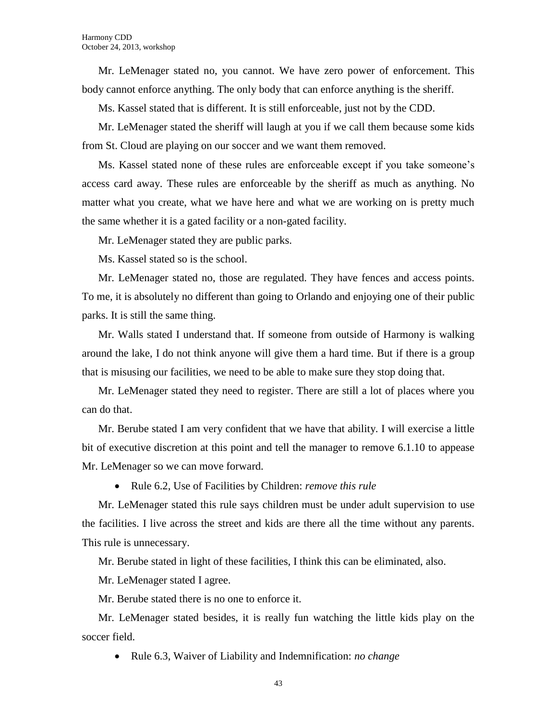Mr. LeMenager stated no, you cannot. We have zero power of enforcement. This body cannot enforce anything. The only body that can enforce anything is the sheriff.

Ms. Kassel stated that is different. It is still enforceable, just not by the CDD.

Mr. LeMenager stated the sheriff will laugh at you if we call them because some kids from St. Cloud are playing on our soccer and we want them removed.

Ms. Kassel stated none of these rules are enforceable except if you take someone's access card away. These rules are enforceable by the sheriff as much as anything. No matter what you create, what we have here and what we are working on is pretty much the same whether it is a gated facility or a non-gated facility.

Mr. LeMenager stated they are public parks.

Ms. Kassel stated so is the school.

Mr. LeMenager stated no, those are regulated. They have fences and access points. To me, it is absolutely no different than going to Orlando and enjoying one of their public parks. It is still the same thing.

Mr. Walls stated I understand that. If someone from outside of Harmony is walking around the lake, I do not think anyone will give them a hard time. But if there is a group that is misusing our facilities, we need to be able to make sure they stop doing that.

Mr. LeMenager stated they need to register. There are still a lot of places where you can do that.

Mr. Berube stated I am very confident that we have that ability. I will exercise a little bit of executive discretion at this point and tell the manager to remove 6.1.10 to appease Mr. LeMenager so we can move forward.

Rule 6.2, Use of Facilities by Children: *remove this rule*

Mr. LeMenager stated this rule says children must be under adult supervision to use the facilities. I live across the street and kids are there all the time without any parents. This rule is unnecessary.

Mr. Berube stated in light of these facilities, I think this can be eliminated, also.

Mr. LeMenager stated I agree.

Mr. Berube stated there is no one to enforce it.

Mr. LeMenager stated besides, it is really fun watching the little kids play on the soccer field.

Rule 6.3, Waiver of Liability and Indemnification: *no change*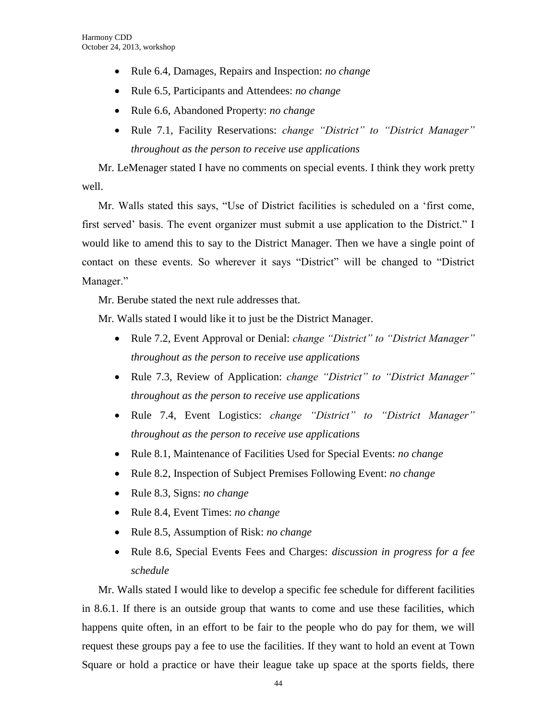- Rule 6.4, Damages, Repairs and Inspection: *no change*
- Rule 6.5, Participants and Attendees: *no change*
- Rule 6.6, Abandoned Property: *no change*
- Rule 7.1, Facility Reservations: *change "District" to "District Manager" throughout as the person to receive use applications*

Mr. LeMenager stated I have no comments on special events. I think they work pretty well.

Mr. Walls stated this says, "Use of District facilities is scheduled on a 'first come, first served' basis. The event organizer must submit a use application to the District." I would like to amend this to say to the District Manager. Then we have a single point of contact on these events. So wherever it says "District" will be changed to "District Manager."

Mr. Berube stated the next rule addresses that.

Mr. Walls stated I would like it to just be the District Manager.

- Rule 7.2, Event Approval or Denial: *change "District" to "District Manager" throughout as the person to receive use applications*
- Rule 7.3, Review of Application: *change "District" to "District Manager" throughout as the person to receive use applications*
- Rule 7.4, Event Logistics: *change "District" to "District Manager" throughout as the person to receive use applications*
- Rule 8.1, Maintenance of Facilities Used for Special Events: *no change*
- Rule 8.2, Inspection of Subject Premises Following Event: *no change*
- Rule 8.3, Signs: *no change*
- Rule 8.4, Event Times: *no change*
- Rule 8.5, Assumption of Risk: *no change*
- Rule 8.6, Special Events Fees and Charges: *discussion in progress for a fee schedule*

Mr. Walls stated I would like to develop a specific fee schedule for different facilities in 8.6.1. If there is an outside group that wants to come and use these facilities, which happens quite often, in an effort to be fair to the people who do pay for them, we will request these groups pay a fee to use the facilities. If they want to hold an event at Town Square or hold a practice or have their league take up space at the sports fields, there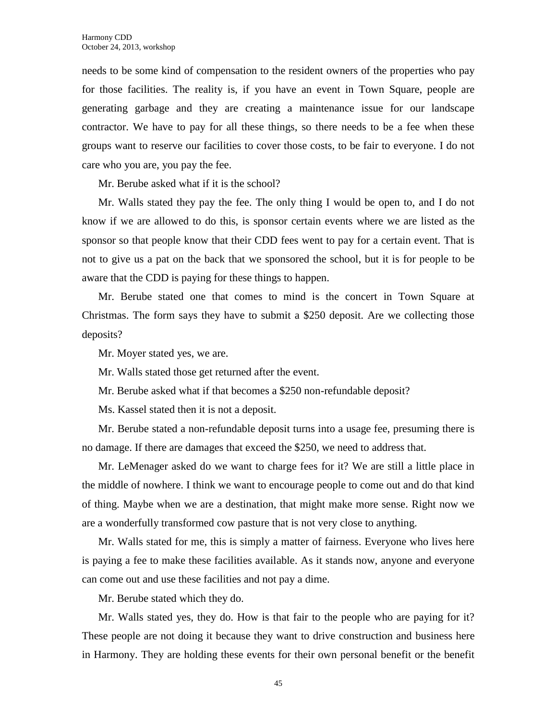needs to be some kind of compensation to the resident owners of the properties who pay for those facilities. The reality is, if you have an event in Town Square, people are generating garbage and they are creating a maintenance issue for our landscape contractor. We have to pay for all these things, so there needs to be a fee when these groups want to reserve our facilities to cover those costs, to be fair to everyone. I do not care who you are, you pay the fee.

Mr. Berube asked what if it is the school?

Mr. Walls stated they pay the fee. The only thing I would be open to, and I do not know if we are allowed to do this, is sponsor certain events where we are listed as the sponsor so that people know that their CDD fees went to pay for a certain event. That is not to give us a pat on the back that we sponsored the school, but it is for people to be aware that the CDD is paying for these things to happen.

Mr. Berube stated one that comes to mind is the concert in Town Square at Christmas. The form says they have to submit a \$250 deposit. Are we collecting those deposits?

Mr. Moyer stated yes, we are.

Mr. Walls stated those get returned after the event.

Mr. Berube asked what if that becomes a \$250 non-refundable deposit?

Ms. Kassel stated then it is not a deposit.

Mr. Berube stated a non-refundable deposit turns into a usage fee, presuming there is no damage. If there are damages that exceed the \$250, we need to address that.

Mr. LeMenager asked do we want to charge fees for it? We are still a little place in the middle of nowhere. I think we want to encourage people to come out and do that kind of thing. Maybe when we are a destination, that might make more sense. Right now we are a wonderfully transformed cow pasture that is not very close to anything.

Mr. Walls stated for me, this is simply a matter of fairness. Everyone who lives here is paying a fee to make these facilities available. As it stands now, anyone and everyone can come out and use these facilities and not pay a dime.

Mr. Berube stated which they do.

Mr. Walls stated yes, they do. How is that fair to the people who are paying for it? These people are not doing it because they want to drive construction and business here in Harmony. They are holding these events for their own personal benefit or the benefit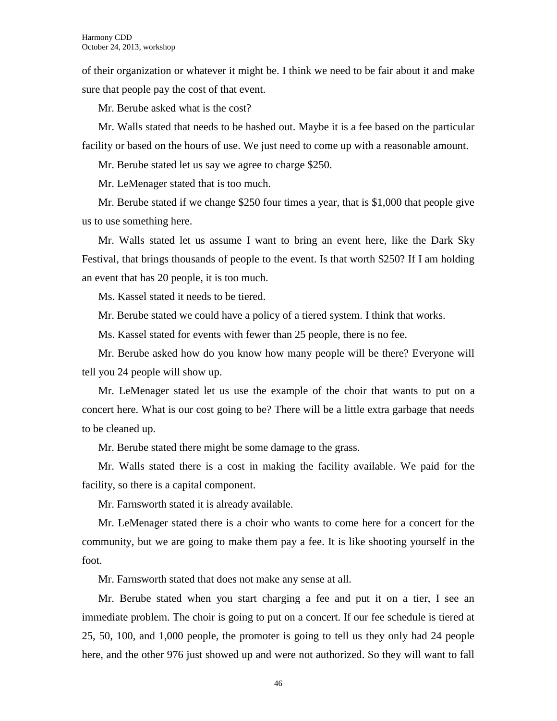of their organization or whatever it might be. I think we need to be fair about it and make sure that people pay the cost of that event.

Mr. Berube asked what is the cost?

Mr. Walls stated that needs to be hashed out. Maybe it is a fee based on the particular facility or based on the hours of use. We just need to come up with a reasonable amount.

Mr. Berube stated let us say we agree to charge \$250.

Mr. LeMenager stated that is too much.

Mr. Berube stated if we change \$250 four times a year, that is \$1,000 that people give us to use something here.

Mr. Walls stated let us assume I want to bring an event here, like the Dark Sky Festival, that brings thousands of people to the event. Is that worth \$250? If I am holding an event that has 20 people, it is too much.

Ms. Kassel stated it needs to be tiered.

Mr. Berube stated we could have a policy of a tiered system. I think that works.

Ms. Kassel stated for events with fewer than 25 people, there is no fee.

Mr. Berube asked how do you know how many people will be there? Everyone will tell you 24 people will show up.

Mr. LeMenager stated let us use the example of the choir that wants to put on a concert here. What is our cost going to be? There will be a little extra garbage that needs to be cleaned up.

Mr. Berube stated there might be some damage to the grass.

Mr. Walls stated there is a cost in making the facility available. We paid for the facility, so there is a capital component.

Mr. Farnsworth stated it is already available.

Mr. LeMenager stated there is a choir who wants to come here for a concert for the community, but we are going to make them pay a fee. It is like shooting yourself in the foot.

Mr. Farnsworth stated that does not make any sense at all.

Mr. Berube stated when you start charging a fee and put it on a tier, I see an immediate problem. The choir is going to put on a concert. If our fee schedule is tiered at 25, 50, 100, and 1,000 people, the promoter is going to tell us they only had 24 people here, and the other 976 just showed up and were not authorized. So they will want to fall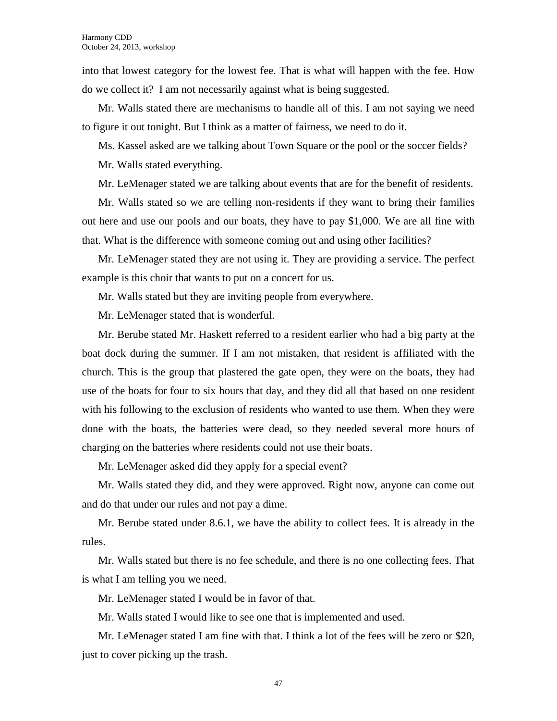into that lowest category for the lowest fee. That is what will happen with the fee. How do we collect it? I am not necessarily against what is being suggested.

Mr. Walls stated there are mechanisms to handle all of this. I am not saying we need to figure it out tonight. But I think as a matter of fairness, we need to do it.

Ms. Kassel asked are we talking about Town Square or the pool or the soccer fields?

Mr. Walls stated everything.

Mr. LeMenager stated we are talking about events that are for the benefit of residents.

Mr. Walls stated so we are telling non-residents if they want to bring their families out here and use our pools and our boats, they have to pay \$1,000. We are all fine with that. What is the difference with someone coming out and using other facilities?

Mr. LeMenager stated they are not using it. They are providing a service. The perfect example is this choir that wants to put on a concert for us.

Mr. Walls stated but they are inviting people from everywhere.

Mr. LeMenager stated that is wonderful.

Mr. Berube stated Mr. Haskett referred to a resident earlier who had a big party at the boat dock during the summer. If I am not mistaken, that resident is affiliated with the church. This is the group that plastered the gate open, they were on the boats, they had use of the boats for four to six hours that day, and they did all that based on one resident with his following to the exclusion of residents who wanted to use them. When they were done with the boats, the batteries were dead, so they needed several more hours of charging on the batteries where residents could not use their boats.

Mr. LeMenager asked did they apply for a special event?

Mr. Walls stated they did, and they were approved. Right now, anyone can come out and do that under our rules and not pay a dime.

Mr. Berube stated under 8.6.1, we have the ability to collect fees. It is already in the rules.

Mr. Walls stated but there is no fee schedule, and there is no one collecting fees. That is what I am telling you we need.

Mr. LeMenager stated I would be in favor of that.

Mr. Walls stated I would like to see one that is implemented and used.

Mr. LeMenager stated I am fine with that. I think a lot of the fees will be zero or \$20, just to cover picking up the trash.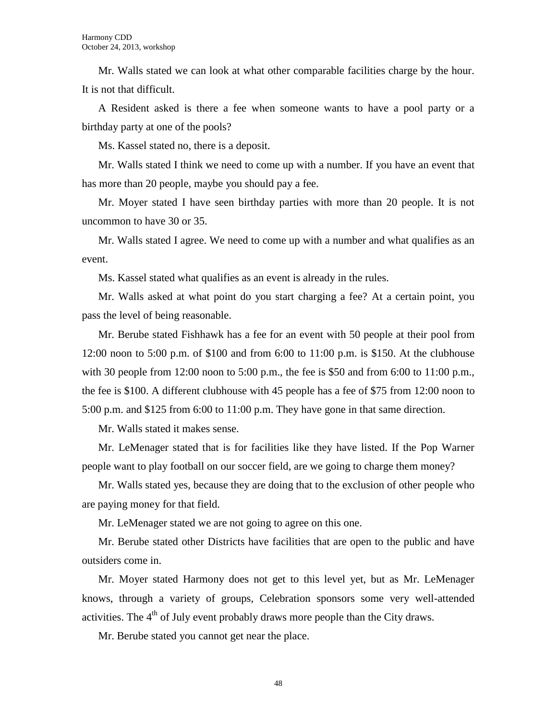Mr. Walls stated we can look at what other comparable facilities charge by the hour. It is not that difficult.

A Resident asked is there a fee when someone wants to have a pool party or a birthday party at one of the pools?

Ms. Kassel stated no, there is a deposit.

Mr. Walls stated I think we need to come up with a number. If you have an event that has more than 20 people, maybe you should pay a fee.

Mr. Moyer stated I have seen birthday parties with more than 20 people. It is not uncommon to have 30 or 35.

Mr. Walls stated I agree. We need to come up with a number and what qualifies as an event.

Ms. Kassel stated what qualifies as an event is already in the rules.

Mr. Walls asked at what point do you start charging a fee? At a certain point, you pass the level of being reasonable.

Mr. Berube stated Fishhawk has a fee for an event with 50 people at their pool from 12:00 noon to 5:00 p.m. of \$100 and from 6:00 to 11:00 p.m. is \$150. At the clubhouse with 30 people from 12:00 noon to 5:00 p.m., the fee is \$50 and from 6:00 to 11:00 p.m., the fee is \$100. A different clubhouse with 45 people has a fee of \$75 from 12:00 noon to 5:00 p.m. and \$125 from 6:00 to 11:00 p.m. They have gone in that same direction.

Mr. Walls stated it makes sense.

Mr. LeMenager stated that is for facilities like they have listed. If the Pop Warner people want to play football on our soccer field, are we going to charge them money?

Mr. Walls stated yes, because they are doing that to the exclusion of other people who are paying money for that field.

Mr. LeMenager stated we are not going to agree on this one.

Mr. Berube stated other Districts have facilities that are open to the public and have outsiders come in.

Mr. Moyer stated Harmony does not get to this level yet, but as Mr. LeMenager knows, through a variety of groups, Celebration sponsors some very well-attended activities. The  $4<sup>th</sup>$  of July event probably draws more people than the City draws.

Mr. Berube stated you cannot get near the place.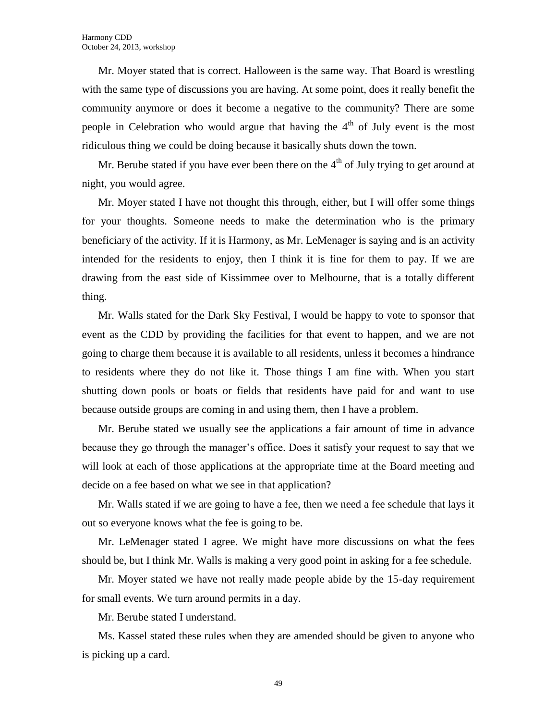Mr. Moyer stated that is correct. Halloween is the same way. That Board is wrestling with the same type of discussions you are having. At some point, does it really benefit the community anymore or does it become a negative to the community? There are some people in Celebration who would argue that having the  $4<sup>th</sup>$  of July event is the most ridiculous thing we could be doing because it basically shuts down the town.

Mr. Berube stated if you have ever been there on the  $4<sup>th</sup>$  of July trying to get around at night, you would agree.

Mr. Moyer stated I have not thought this through, either, but I will offer some things for your thoughts. Someone needs to make the determination who is the primary beneficiary of the activity. If it is Harmony, as Mr. LeMenager is saying and is an activity intended for the residents to enjoy, then I think it is fine for them to pay. If we are drawing from the east side of Kissimmee over to Melbourne, that is a totally different thing.

Mr. Walls stated for the Dark Sky Festival, I would be happy to vote to sponsor that event as the CDD by providing the facilities for that event to happen, and we are not going to charge them because it is available to all residents, unless it becomes a hindrance to residents where they do not like it. Those things I am fine with. When you start shutting down pools or boats or fields that residents have paid for and want to use because outside groups are coming in and using them, then I have a problem.

Mr. Berube stated we usually see the applications a fair amount of time in advance because they go through the manager's office. Does it satisfy your request to say that we will look at each of those applications at the appropriate time at the Board meeting and decide on a fee based on what we see in that application?

Mr. Walls stated if we are going to have a fee, then we need a fee schedule that lays it out so everyone knows what the fee is going to be.

Mr. LeMenager stated I agree. We might have more discussions on what the fees should be, but I think Mr. Walls is making a very good point in asking for a fee schedule.

Mr. Moyer stated we have not really made people abide by the 15-day requirement for small events. We turn around permits in a day.

Mr. Berube stated I understand.

Ms. Kassel stated these rules when they are amended should be given to anyone who is picking up a card.

49